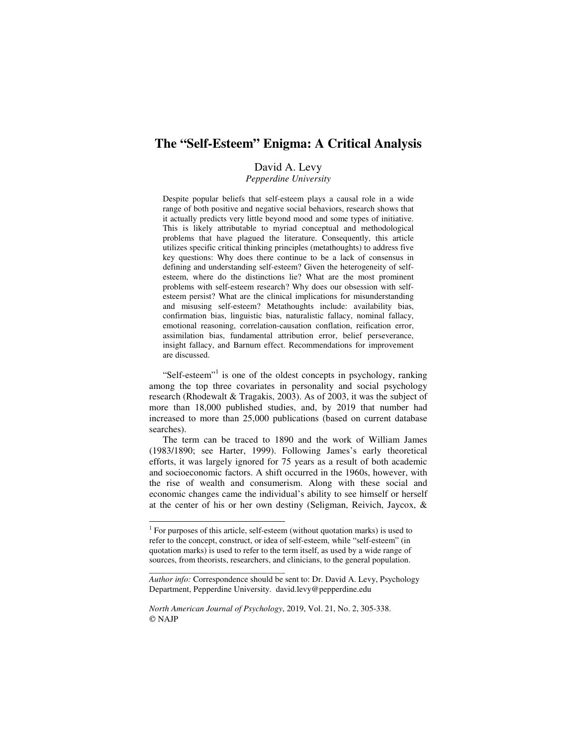# **The "Self-Esteem" Enigma: A Critical Analysis**

## David A. Levy

*Pepperdine University* 

Despite popular beliefs that self-esteem plays a causal role in a wide range of both positive and negative social behaviors, research shows that it actually predicts very little beyond mood and some types of initiative. This is likely attributable to myriad conceptual and methodological problems that have plagued the literature. Consequently, this article utilizes specific critical thinking principles (metathoughts) to address five key questions: Why does there continue to be a lack of consensus in defining and understanding self-esteem? Given the heterogeneity of selfesteem, where do the distinctions lie? What are the most prominent problems with self-esteem research? Why does our obsession with selfesteem persist? What are the clinical implications for misunderstanding and misusing self-esteem? Metathoughts include: availability bias, confirmation bias, linguistic bias, naturalistic fallacy, nominal fallacy, emotional reasoning, correlation-causation conflation, reification error, assimilation bias, fundamental attribution error, belief perseverance, insight fallacy, and Barnum effect. Recommendations for improvement are discussed.

"Self-esteem"<sup>1</sup> is one of the oldest concepts in psychology, ranking among the top three covariates in personality and social psychology research (Rhodewalt & Tragakis, 2003). As of 2003, it was the subject of more than 18,000 published studies, and, by 2019 that number had increased to more than 25,000 publications (based on current database searches).

The term can be traced to 1890 and the work of William James (1983/1890; see Harter, 1999). Following James's early theoretical efforts, it was largely ignored for 75 years as a result of both academic and socioeconomic factors. A shift occurred in the 1960s, however, with the rise of wealth and consumerism. Along with these social and economic changes came the individual's ability to see himself or herself at the center of his or her own destiny (Seligman, Reivich, Jaycox, &

*\_\_\_\_\_\_\_\_\_\_\_\_\_\_\_\_\_\_\_\_\_\_\_\_\_\_\_\_\_\_\_\_* 

-

<sup>&</sup>lt;sup>1</sup> For purposes of this article, self-esteem (without quotation marks) is used to refer to the concept, construct, or idea of self-esteem, while "self-esteem" (in quotation marks) is used to refer to the term itself, as used by a wide range of sources, from theorists, researchers, and clinicians, to the general population.

*Author info:* Correspondence should be sent to: Dr. David A. Levy, Psychology Department, Pepperdine University. david.levy@pepperdine.edu

*North American Journal of Psychology*, 2019, Vol. 21, No. 2, 305-338. © NAJP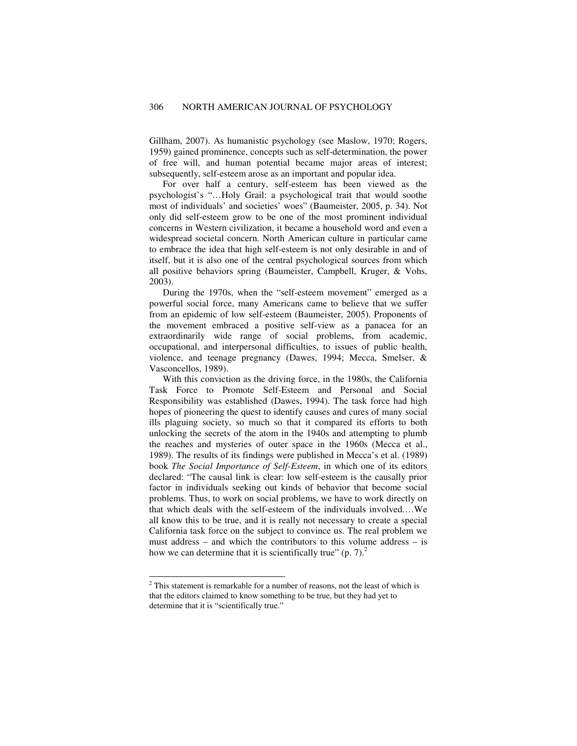Gillham, 2007). As humanistic psychology (see Maslow, 1970; Rogers, 1959) gained prominence, concepts such as self-determination, the power of free will, and human potential became major areas of interest; subsequently, self-esteem arose as an important and popular idea.

For over half a century, self-esteem has been viewed as the psychologist's "…Holy Grail: a psychological trait that would soothe most of individuals' and societies' woes" (Baumeister, 2005, p. 34). Not only did self-esteem grow to be one of the most prominent individual concerns in Western civilization, it became a household word and even a widespread societal concern. North American culture in particular came to embrace the idea that high self-esteem is not only desirable in and of itself, but it is also one of the central psychological sources from which all positive behaviors spring (Baumeister, Campbell, Kruger, & Vohs, 2003).

During the 1970s, when the "self-esteem movement" emerged as a powerful social force, many Americans came to believe that we suffer from an epidemic of low self-esteem (Baumeister, 2005). Proponents of the movement embraced a positive self-view as a panacea for an extraordinarily wide range of social problems, from academic, occupational, and interpersonal difficulties, to issues of public health, violence, and teenage pregnancy (Dawes, 1994; Mecca, Smelser, & Vasconcellos, 1989).

With this conviction as the driving force, in the 1980s, the California Task Force to Promote Self-Esteem and Personal and Social Responsibility was established (Dawes, 1994). The task force had high hopes of pioneering the quest to identify causes and cures of many social ills plaguing society, so much so that it compared its efforts to both unlocking the secrets of the atom in the 1940s and attempting to plumb the reaches and mysteries of outer space in the 1960s (Mecca et al., 1989). The results of its findings were published in Mecca's et al. (1989) book *The Social Importance of Self-Esteem*, in which one of its editors declared: "The causal link is clear: low self-esteem is the causally prior factor in individuals seeking out kinds of behavior that become social problems. Thus, to work on social problems, we have to work directly on that which deals with the self-esteem of the individuals involved.…We all know this to be true, and it is really not necessary to create a special California task force on the subject to convince us. The real problem we must address – and which the contributors to this volume address – is how we can determine that it is scientifically true"  $(p, 7)$ .

<sup>&</sup>lt;sup>2</sup> This statement is remarkable for a number of reasons, not the least of which is that the editors claimed to know something to be true, but they had yet to determine that it is "scientifically true."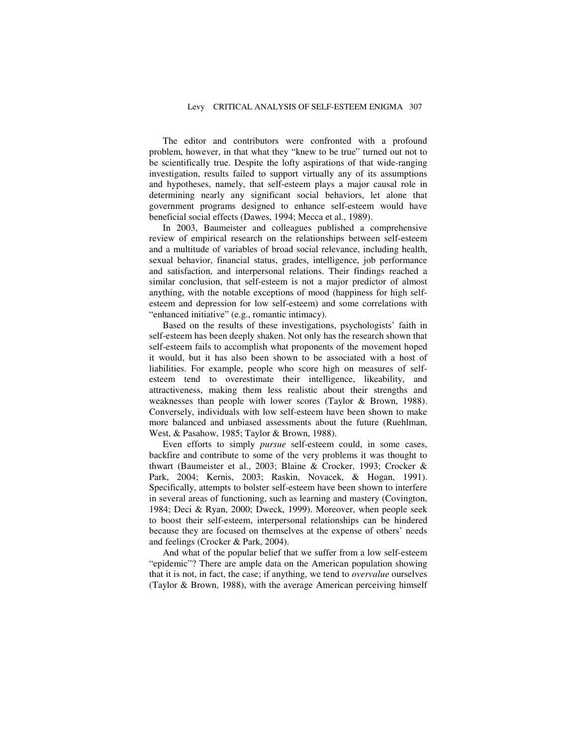The editor and contributors were confronted with a profound problem, however, in that what they "knew to be true" turned out not to be scientifically true. Despite the lofty aspirations of that wide-ranging investigation, results failed to support virtually any of its assumptions and hypotheses, namely, that self-esteem plays a major causal role in determining nearly any significant social behaviors, let alone that government programs designed to enhance self-esteem would have beneficial social effects (Dawes, 1994; Mecca et al., 1989).

In 2003, Baumeister and colleagues published a comprehensive review of empirical research on the relationships between self-esteem and a multitude of variables of broad social relevance, including health, sexual behavior, financial status, grades, intelligence, job performance and satisfaction, and interpersonal relations. Their findings reached a similar conclusion, that self-esteem is not a major predictor of almost anything, with the notable exceptions of mood (happiness for high selfesteem and depression for low self-esteem) and some correlations with "enhanced initiative" (e.g., romantic intimacy).

Based on the results of these investigations, psychologists' faith in self-esteem has been deeply shaken. Not only has the research shown that self-esteem fails to accomplish what proponents of the movement hoped it would, but it has also been shown to be associated with a host of liabilities. For example, people who score high on measures of selfesteem tend to overestimate their intelligence, likeability, and attractiveness, making them less realistic about their strengths and weaknesses than people with lower scores (Taylor & Brown, 1988). Conversely, individuals with low self-esteem have been shown to make more balanced and unbiased assessments about the future (Ruehlman, West, & Pasahow, 1985; Taylor & Brown, 1988).

Even efforts to simply *pursue* self-esteem could, in some cases, backfire and contribute to some of the very problems it was thought to thwart (Baumeister et al., 2003; Blaine & Crocker, 1993; Crocker & Park, 2004; Kernis, 2003; Raskin, Novacek, & Hogan, 1991). Specifically, attempts to bolster self-esteem have been shown to interfere in several areas of functioning, such as learning and mastery (Covington, 1984; Deci & Ryan, 2000; Dweck, 1999). Moreover, when people seek to boost their self-esteem, interpersonal relationships can be hindered because they are focused on themselves at the expense of others' needs and feelings (Crocker & Park, 2004).

And what of the popular belief that we suffer from a low self-esteem "epidemic"? There are ample data on the American population showing that it is not, in fact, the case; if anything, we tend to *overvalue* ourselves (Taylor & Brown, 1988), with the average American perceiving himself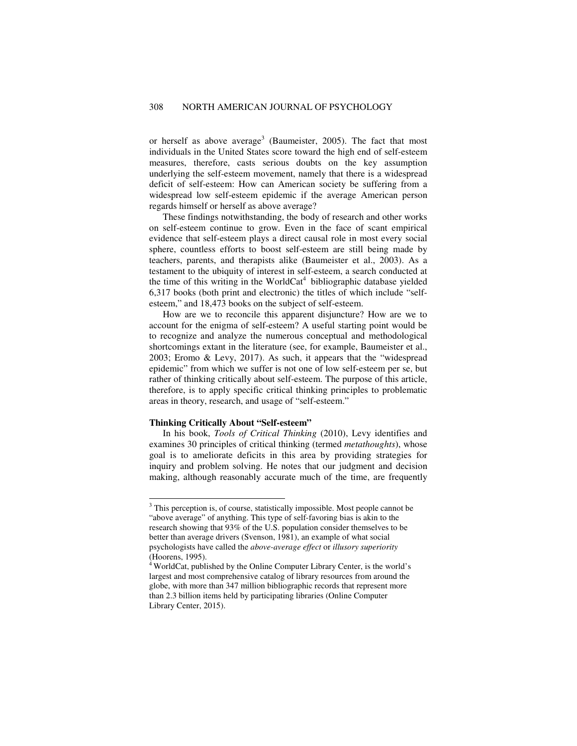or herself as above average<sup>3</sup> (Baumeister, 2005). The fact that most individuals in the United States score toward the high end of self-esteem measures, therefore, casts serious doubts on the key assumption underlying the self-esteem movement, namely that there is a widespread deficit of self-esteem: How can American society be suffering from a widespread low self-esteem epidemic if the average American person regards himself or herself as above average?

These findings notwithstanding, the body of research and other works on self-esteem continue to grow. Even in the face of scant empirical evidence that self-esteem plays a direct causal role in most every social sphere, countless efforts to boost self-esteem are still being made by teachers, parents, and therapists alike (Baumeister et al., 2003). As a testament to the ubiquity of interest in self-esteem, a search conducted at the time of this writing in the WorldCat<sup>4</sup> bibliographic database yielded 6,317 books (both print and electronic) the titles of which include "selfesteem," and 18,473 books on the subject of self-esteem.

How are we to reconcile this apparent disjuncture? How are we to account for the enigma of self-esteem? A useful starting point would be to recognize and analyze the numerous conceptual and methodological shortcomings extant in the literature (see, for example, Baumeister et al., 2003; Eromo & Levy, 2017). As such, it appears that the "widespread epidemic" from which we suffer is not one of low self-esteem per se, but rather of thinking critically about self-esteem. The purpose of this article, therefore, is to apply specific critical thinking principles to problematic areas in theory, research, and usage of "self-esteem."

#### **Thinking Critically About "Self-esteem"**

In his book, *Tools of Critical Thinking* (2010), Levy identifies and examines 30 principles of critical thinking (termed *metathoughts*), whose goal is to ameliorate deficits in this area by providing strategies for inquiry and problem solving. He notes that our judgment and decision making, although reasonably accurate much of the time, are frequently

<sup>&</sup>lt;sup>3</sup> This perception is, of course, statistically impossible. Most people cannot be "above average" of anything. This type of self-favoring bias is akin to the research showing that 93% of the U.S. population consider themselves to be better than average drivers (Svenson, 1981), an example of what social psychologists have called the *above-average effect* or *illusory superiority* (Hoorens, 1995).

 $4$  WorldCat, published by the Online Computer Library Center, is the world's largest and most comprehensive catalog of library resources from around the globe, with more than 347 million bibliographic records that represent more than 2.3 billion items held by participating libraries (Online Computer Library Center, 2015).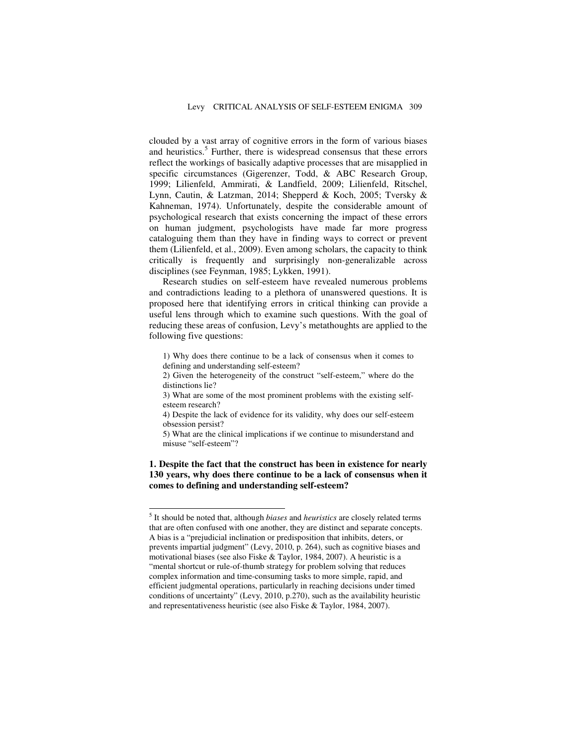clouded by a vast array of cognitive errors in the form of various biases and heuristics.<sup>5</sup> Further, there is widespread consensus that these errors reflect the workings of basically adaptive processes that are misapplied in specific circumstances (Gigerenzer, Todd, & ABC Research Group, 1999; Lilienfeld, Ammirati, & Landfield, 2009; Lilienfeld, Ritschel, Lynn, Cautin, & Latzman, 2014; Shepperd & Koch, 2005; Tversky & Kahneman, 1974). Unfortunately, despite the considerable amount of psychological research that exists concerning the impact of these errors on human judgment, psychologists have made far more progress cataloguing them than they have in finding ways to correct or prevent them (Lilienfeld, et al., 2009). Even among scholars, the capacity to think critically is frequently and surprisingly non-generalizable across disciplines (see Feynman, 1985; Lykken, 1991).

Research studies on self-esteem have revealed numerous problems and contradictions leading to a plethora of unanswered questions. It is proposed here that identifying errors in critical thinking can provide a useful lens through which to examine such questions. With the goal of reducing these areas of confusion, Levy's metathoughts are applied to the following five questions:

1) Why does there continue to be a lack of consensus when it comes to defining and understanding self-esteem?

2) Given the heterogeneity of the construct "self-esteem," where do the distinctions lie?

3) What are some of the most prominent problems with the existing selfesteem research?

4) Despite the lack of evidence for its validity, why does our self-esteem obsession persist?

5) What are the clinical implications if we continue to misunderstand and misuse "self-esteem"?

**1. Despite the fact that the construct has been in existence for nearly 130 years, why does there continue to be a lack of consensus when it comes to defining and understanding self-esteem?** 

j

<sup>5</sup> It should be noted that, although *biases* and *heuristics* are closely related terms that are often confused with one another, they are distinct and separate concepts. A bias is a "prejudicial inclination or predisposition that inhibits, deters, or prevents impartial judgment" (Levy, 2010, p. 264), such as cognitive biases and motivational biases (see also Fiske & Taylor, 1984, 2007). A heuristic is a "mental shortcut or rule-of-thumb strategy for problem solving that reduces complex information and time-consuming tasks to more simple, rapid, and efficient judgmental operations, particularly in reaching decisions under timed conditions of uncertainty" (Levy, 2010, p.270), such as the availability heuristic and representativeness heuristic (see also Fiske & Taylor, 1984, 2007).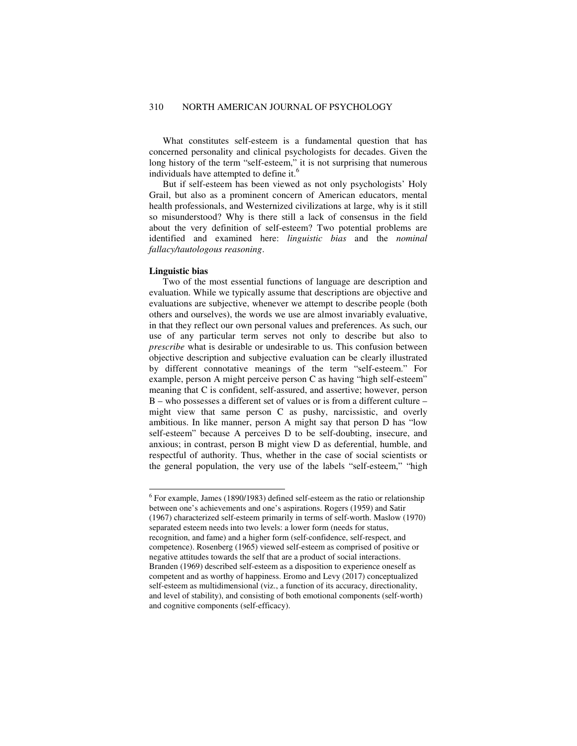What constitutes self-esteem is a fundamental question that has concerned personality and clinical psychologists for decades. Given the long history of the term "self-esteem," it is not surprising that numerous individuals have attempted to define it.<sup>6</sup>

But if self-esteem has been viewed as not only psychologists' Holy Grail, but also as a prominent concern of American educators, mental health professionals, and Westernized civilizations at large, why is it still so misunderstood? Why is there still a lack of consensus in the field about the very definition of self-esteem? Two potential problems are identified and examined here: *linguistic bias* and the *nominal fallacy/tautologous reasoning*.

#### **Linguistic bias**

Two of the most essential functions of language are description and evaluation. While we typically assume that descriptions are objective and evaluations are subjective, whenever we attempt to describe people (both others and ourselves), the words we use are almost invariably evaluative, in that they reflect our own personal values and preferences. As such, our use of any particular term serves not only to describe but also to *prescribe* what is desirable or undesirable to us. This confusion between objective description and subjective evaluation can be clearly illustrated by different connotative meanings of the term "self-esteem." For example, person A might perceive person C as having "high self-esteem" meaning that C is confident, self-assured, and assertive; however, person B – who possesses a different set of values or is from a different culture – might view that same person C as pushy, narcissistic, and overly ambitious. In like manner, person A might say that person D has "low self-esteem" because A perceives D to be self-doubting, insecure, and anxious; in contrast, person B might view D as deferential, humble, and respectful of authority. Thus, whether in the case of social scientists or the general population, the very use of the labels "self-esteem," "high

 6 For example, James (1890/1983) defined self-esteem as the ratio or relationship between one's achievements and one's aspirations. Rogers (1959) and Satir (1967) characterized self-esteem primarily in terms of self-worth. Maslow (1970) separated esteem needs into two levels: a lower form (needs for status, recognition, and fame) and a higher form (self-confidence, self-respect, and competence). Rosenberg (1965) viewed self-esteem as comprised of positive or negative attitudes towards the self that are a product of social interactions. Branden (1969) described self-esteem as a disposition to experience oneself as competent and as worthy of happiness. Eromo and Levy (2017) conceptualized self-esteem as multidimensional (viz., a function of its accuracy, directionality, and level of stability), and consisting of both emotional components (self-worth) and cognitive components (self-efficacy).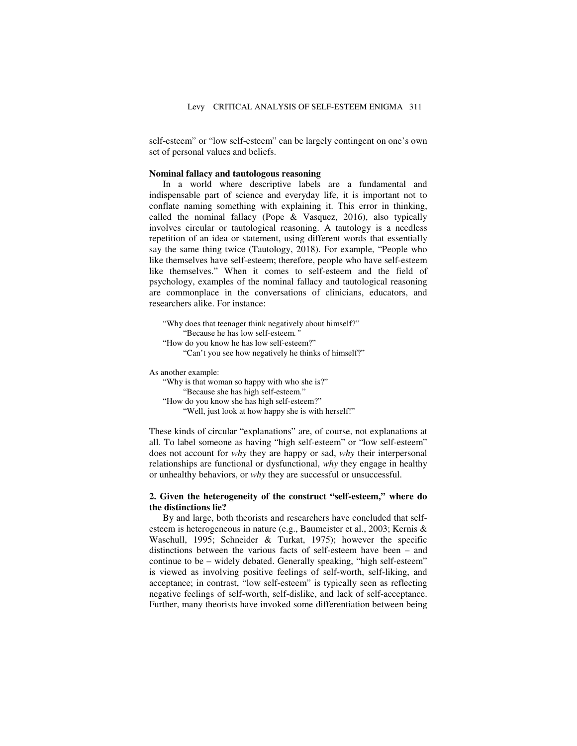self-esteem" or "low self-esteem" can be largely contingent on one's own set of personal values and beliefs.

#### **Nominal fallacy and tautologous reasoning**

In a world where descriptive labels are a fundamental and indispensable part of science and everyday life, it is important not to conflate naming something with explaining it. This error in thinking, called the nominal fallacy (Pope & Vasquez, 2016), also typically involves circular or tautological reasoning. A tautology is a needless repetition of an idea or statement, using different words that essentially say the same thing twice (Tautology, 2018). For example, "People who like themselves have self-esteem; therefore, people who have self-esteem like themselves." When it comes to self-esteem and the field of psychology, examples of the nominal fallacy and tautological reasoning are commonplace in the conversations of clinicians, educators, and researchers alike. For instance:

```
"Why does that teenager think negatively about himself?" 
           "Because he has low self-esteem." 
   "How do you know he has low self-esteem?" 
           "Can't you see how negatively he thinks of himself?" 
As another example: 
   "Why is that woman so happy with who she is?" 
          "Because she has high self-esteem." 
   "How do you know she has high self-esteem?" 
          "Well, just look at how happy she is with herself!"
```
These kinds of circular "explanations" are, of course, not explanations at all. To label someone as having "high self-esteem" or "low self-esteem" does not account for *why* they are happy or sad, *why* their interpersonal relationships are functional or dysfunctional, *why* they engage in healthy or unhealthy behaviors, or *why* they are successful or unsuccessful.

## **2. Given the heterogeneity of the construct "self-esteem," where do the distinctions lie?**

By and large, both theorists and researchers have concluded that selfesteem is heterogeneous in nature (e.g., Baumeister et al., 2003; Kernis & Waschull, 1995; Schneider & Turkat, 1975); however the specific distinctions between the various facts of self-esteem have been – and continue to be – widely debated. Generally speaking, "high self-esteem" is viewed as involving positive feelings of self-worth, self-liking, and acceptance; in contrast, "low self-esteem" is typically seen as reflecting negative feelings of self-worth, self-dislike, and lack of self-acceptance. Further, many theorists have invoked some differentiation between being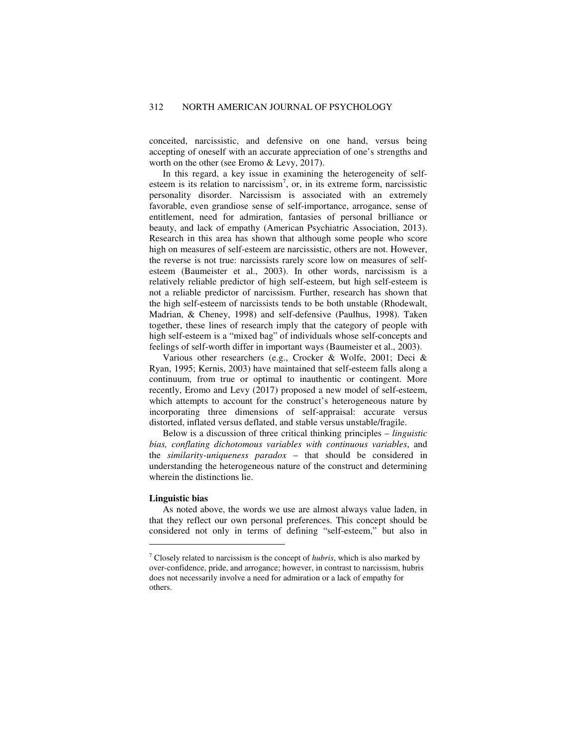conceited, narcissistic, and defensive on one hand, versus being accepting of oneself with an accurate appreciation of one's strengths and worth on the other (see Eromo & Levy, 2017).

In this regard, a key issue in examining the heterogeneity of selfesteem is its relation to narcissism<sup>7</sup>, or, in its extreme form, narcissistic personality disorder. Narcissism is associated with an extremely favorable, even grandiose sense of self-importance, arrogance, sense of entitlement, need for admiration, fantasies of personal brilliance or beauty, and lack of empathy (American Psychiatric Association, 2013). Research in this area has shown that although some people who score high on measures of self-esteem are narcissistic, others are not. However, the reverse is not true: narcissists rarely score low on measures of selfesteem (Baumeister et al., 2003). In other words, narcissism is a relatively reliable predictor of high self-esteem, but high self-esteem is not a reliable predictor of narcissism. Further, research has shown that the high self-esteem of narcissists tends to be both unstable (Rhodewalt, Madrian, & Cheney, 1998) and self-defensive (Paulhus, 1998). Taken together, these lines of research imply that the category of people with high self-esteem is a "mixed bag" of individuals whose self-concepts and feelings of self-worth differ in important ways (Baumeister et al., 2003).

Various other researchers (e.g., Crocker & Wolfe, 2001; Deci & Ryan, 1995; Kernis, 2003) have maintained that self-esteem falls along a continuum, from true or optimal to inauthentic or contingent. More recently, Eromo and Levy (2017) proposed a new model of self-esteem, which attempts to account for the construct's heterogeneous nature by incorporating three dimensions of self-appraisal: accurate versus distorted, inflated versus deflated, and stable versus unstable/fragile.

Below is a discussion of three critical thinking principles – *linguistic bias, conflating dichotomous variables with continuous variables*, and the *similarity-uniqueness paradox* – that should be considered in understanding the heterogeneous nature of the construct and determining wherein the distinctions lie.

#### **Linguistic bias**

-

As noted above, the words we use are almost always value laden, in that they reflect our own personal preferences. This concept should be considered not only in terms of defining "self-esteem," but also in

<sup>7</sup> Closely related to narcissism is the concept of *hubris*, which is also marked by over-confidence, pride, and arrogance; however, in contrast to narcissism, hubris does not necessarily involve a need for admiration or a lack of empathy for others.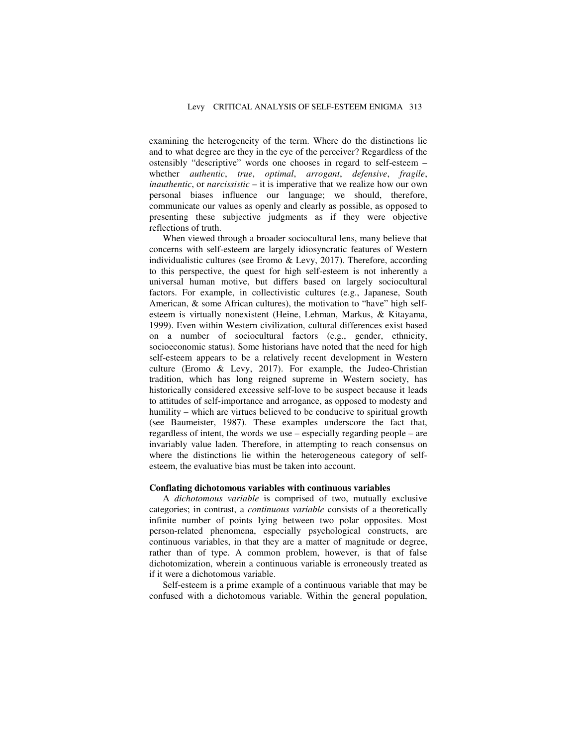examining the heterogeneity of the term. Where do the distinctions lie and to what degree are they in the eye of the perceiver? Regardless of the ostensibly "descriptive" words one chooses in regard to self-esteem – whether *authentic*, *true*, *optimal*, *arrogant*, *defensive*, *fragile*, *inauthentic*, or *narcissistic* – it is imperative that we realize how our own personal biases influence our language; we should, therefore, communicate our values as openly and clearly as possible, as opposed to presenting these subjective judgments as if they were objective reflections of truth.

When viewed through a broader sociocultural lens, many believe that concerns with self-esteem are largely idiosyncratic features of Western individualistic cultures (see Eromo & Levy, 2017). Therefore, according to this perspective, the quest for high self-esteem is not inherently a universal human motive, but differs based on largely sociocultural factors. For example, in collectivistic cultures (e.g., Japanese, South American, & some African cultures), the motivation to "have" high selfesteem is virtually nonexistent (Heine, Lehman, Markus, & Kitayama, 1999). Even within Western civilization, cultural differences exist based on a number of sociocultural factors (e.g., gender, ethnicity, socioeconomic status). Some historians have noted that the need for high self-esteem appears to be a relatively recent development in Western culture (Eromo & Levy, 2017). For example, the Judeo-Christian tradition, which has long reigned supreme in Western society, has historically considered excessive self-love to be suspect because it leads to attitudes of self-importance and arrogance, as opposed to modesty and humility – which are virtues believed to be conducive to spiritual growth (see Baumeister, 1987). These examples underscore the fact that, regardless of intent, the words we use – especially regarding people – are invariably value laden. Therefore, in attempting to reach consensus on where the distinctions lie within the heterogeneous category of selfesteem, the evaluative bias must be taken into account.

#### **Conflating dichotomous variables with continuous variables**

A *dichotomous variable* is comprised of two, mutually exclusive categories; in contrast, a *continuous variable* consists of a theoretically infinite number of points lying between two polar opposites. Most person-related phenomena, especially psychological constructs, are continuous variables, in that they are a matter of magnitude or degree, rather than of type. A common problem, however, is that of false dichotomization, wherein a continuous variable is erroneously treated as if it were a dichotomous variable.

Self-esteem is a prime example of a continuous variable that may be confused with a dichotomous variable. Within the general population,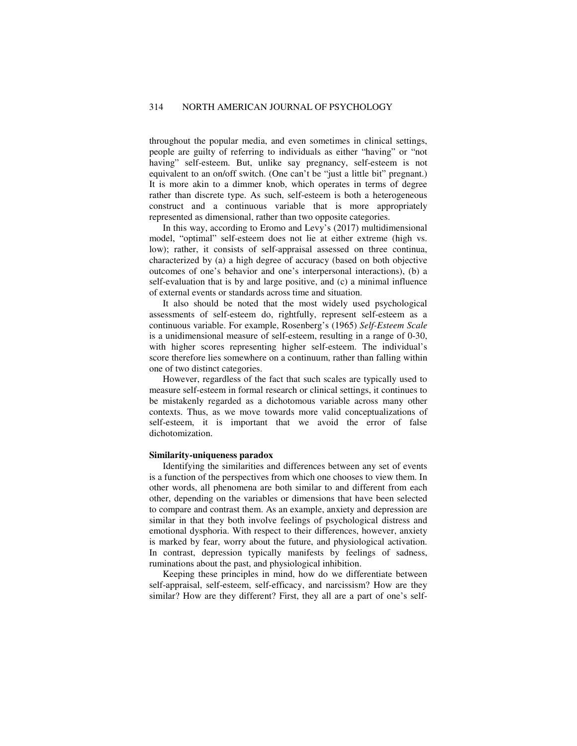throughout the popular media, and even sometimes in clinical settings, people are guilty of referring to individuals as either "having" or "not having" self-esteem. But, unlike say pregnancy, self-esteem is not equivalent to an on/off switch. (One can't be "just a little bit" pregnant.) It is more akin to a dimmer knob, which operates in terms of degree rather than discrete type. As such, self-esteem is both a heterogeneous construct and a continuous variable that is more appropriately represented as dimensional, rather than two opposite categories.

In this way, according to Eromo and Levy's (2017) multidimensional model, "optimal" self-esteem does not lie at either extreme (high vs. low); rather, it consists of self-appraisal assessed on three continua, characterized by (a) a high degree of accuracy (based on both objective outcomes of one's behavior and one's interpersonal interactions), (b) a self-evaluation that is by and large positive, and (c) a minimal influence of external events or standards across time and situation.

It also should be noted that the most widely used psychological assessments of self-esteem do, rightfully, represent self-esteem as a continuous variable. For example, Rosenberg's (1965) *Self-Esteem Scale* is a unidimensional measure of self-esteem, resulting in a range of 0-30, with higher scores representing higher self-esteem. The individual's score therefore lies somewhere on a continuum, rather than falling within one of two distinct categories.

However, regardless of the fact that such scales are typically used to measure self-esteem in formal research or clinical settings, it continues to be mistakenly regarded as a dichotomous variable across many other contexts. Thus, as we move towards more valid conceptualizations of self-esteem, it is important that we avoid the error of false dichotomization.

## **Similarity-uniqueness paradox**

Identifying the similarities and differences between any set of events is a function of the perspectives from which one chooses to view them. In other words, all phenomena are both similar to and different from each other, depending on the variables or dimensions that have been selected to compare and contrast them. As an example, anxiety and depression are similar in that they both involve feelings of psychological distress and emotional dysphoria. With respect to their differences, however, anxiety is marked by fear, worry about the future, and physiological activation. In contrast, depression typically manifests by feelings of sadness, ruminations about the past, and physiological inhibition.

Keeping these principles in mind, how do we differentiate between self-appraisal, self-esteem, self-efficacy, and narcissism? How are they similar? How are they different? First, they all are a part of one's self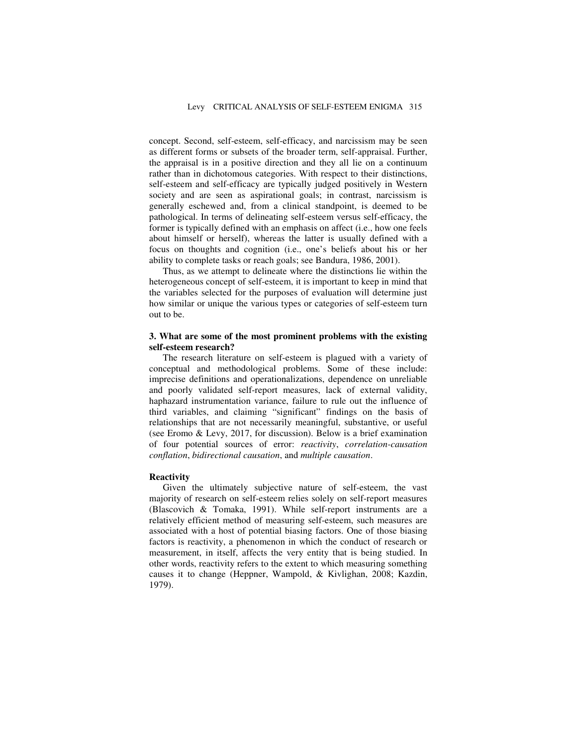concept. Second, self-esteem, self-efficacy, and narcissism may be seen as different forms or subsets of the broader term, self-appraisal. Further, the appraisal is in a positive direction and they all lie on a continuum rather than in dichotomous categories. With respect to their distinctions, self-esteem and self-efficacy are typically judged positively in Western society and are seen as aspirational goals; in contrast, narcissism is generally eschewed and, from a clinical standpoint, is deemed to be pathological. In terms of delineating self-esteem versus self-efficacy, the former is typically defined with an emphasis on affect (i.e., how one feels about himself or herself), whereas the latter is usually defined with a focus on thoughts and cognition (i.e., one's beliefs about his or her ability to complete tasks or reach goals; see Bandura, 1986, 2001).

Thus, as we attempt to delineate where the distinctions lie within the heterogeneous concept of self-esteem, it is important to keep in mind that the variables selected for the purposes of evaluation will determine just how similar or unique the various types or categories of self-esteem turn out to be.

## **3. What are some of the most prominent problems with the existing self-esteem research?**

The research literature on self-esteem is plagued with a variety of conceptual and methodological problems. Some of these include: imprecise definitions and operationalizations, dependence on unreliable and poorly validated self-report measures, lack of external validity, haphazard instrumentation variance, failure to rule out the influence of third variables, and claiming "significant" findings on the basis of relationships that are not necessarily meaningful, substantive, or useful (see Eromo & Levy, 2017, for discussion). Below is a brief examination of four potential sources of error: *reactivity*, *correlation-causation conflation*, *bidirectional causation*, and *multiple causation*.

#### **Reactivity**

Given the ultimately subjective nature of self-esteem, the vast majority of research on self-esteem relies solely on self-report measures (Blascovich & Tomaka, 1991). While self-report instruments are a relatively efficient method of measuring self-esteem, such measures are associated with a host of potential biasing factors. One of those biasing factors is reactivity, a phenomenon in which the conduct of research or measurement, in itself, affects the very entity that is being studied. In other words, reactivity refers to the extent to which measuring something causes it to change (Heppner, Wampold, & Kivlighan, 2008; Kazdin, 1979).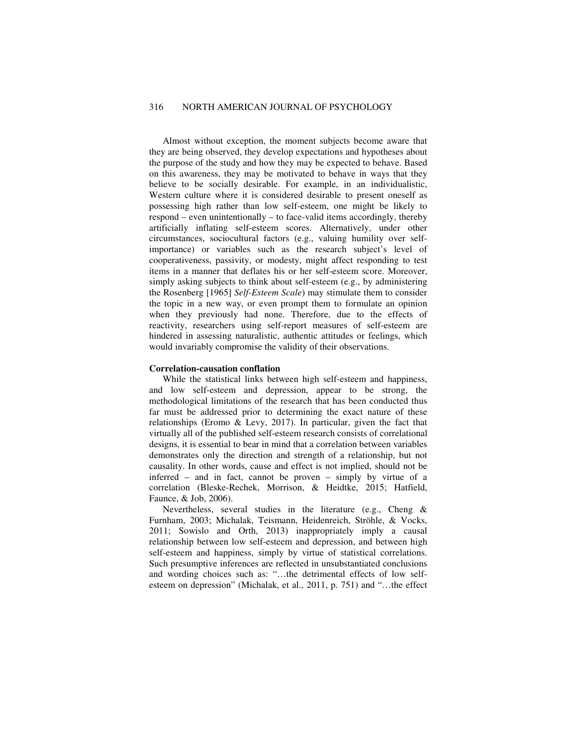Almost without exception, the moment subjects become aware that they are being observed, they develop expectations and hypotheses about the purpose of the study and how they may be expected to behave. Based on this awareness, they may be motivated to behave in ways that they believe to be socially desirable. For example, in an individualistic, Western culture where it is considered desirable to present oneself as possessing high rather than low self-esteem, one might be likely to respond – even unintentionally – to face-valid items accordingly, thereby artificially inflating self-esteem scores. Alternatively, under other circumstances, sociocultural factors (e.g., valuing humility over selfimportance) or variables such as the research subject's level of cooperativeness, passivity, or modesty, might affect responding to test items in a manner that deflates his or her self-esteem score. Moreover, simply asking subjects to think about self-esteem (e.g., by administering the Rosenberg [1965] *Self-Esteem Scale*) may stimulate them to consider the topic in a new way, or even prompt them to formulate an opinion when they previously had none. Therefore, due to the effects of reactivity, researchers using self-report measures of self-esteem are hindered in assessing naturalistic, authentic attitudes or feelings, which would invariably compromise the validity of their observations.

## **Correlation-causation conflation**

While the statistical links between high self-esteem and happiness, and low self-esteem and depression, appear to be strong, the methodological limitations of the research that has been conducted thus far must be addressed prior to determining the exact nature of these relationships (Eromo & Levy, 2017). In particular, given the fact that virtually all of the published self-esteem research consists of correlational designs, it is essential to bear in mind that a correlation between variables demonstrates only the direction and strength of a relationship, but not causality. In other words, cause and effect is not implied, should not be inferred – and in fact, cannot be proven – simply by virtue of a correlation (Bleske-Rechek, Morrison, & Heidtke, 2015; Hatfield, Faunce, & Job, 2006).

Nevertheless, several studies in the literature (e.g., Cheng & Furnham, 2003; Michalak, Teismann, Heidenreich, Ströhle, & Vocks, 2011; Sowislo and Orth, 2013) inappropriately imply a causal relationship between low self-esteem and depression, and between high self-esteem and happiness, simply by virtue of statistical correlations. Such presumptive inferences are reflected in unsubstantiated conclusions and wording choices such as: "…the detrimental effects of low selfesteem on depression" (Michalak, et al., 2011, p. 751) and "…the effect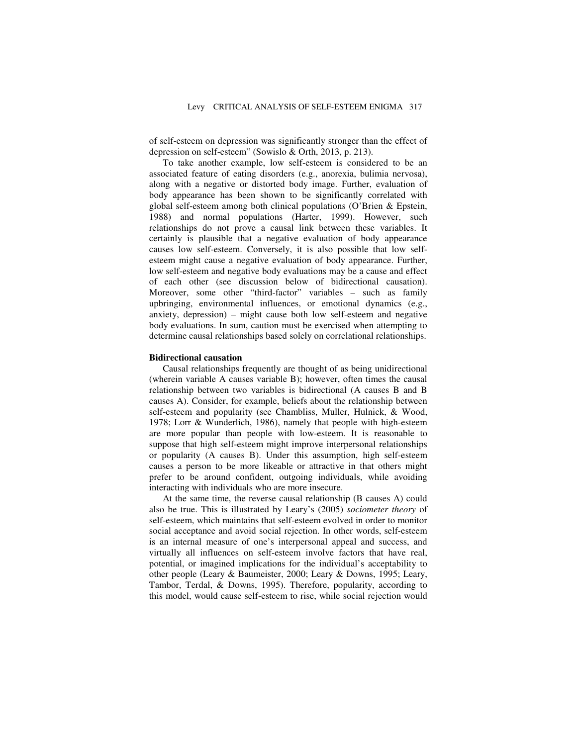of self-esteem on depression was significantly stronger than the effect of depression on self-esteem" (Sowislo & Orth, 2013, p. 213).

To take another example, low self-esteem is considered to be an associated feature of eating disorders (e.g., anorexia, bulimia nervosa), along with a negative or distorted body image. Further, evaluation of body appearance has been shown to be significantly correlated with global self-esteem among both clinical populations (O'Brien & Epstein, 1988) and normal populations (Harter, 1999). However, such relationships do not prove a causal link between these variables. It certainly is plausible that a negative evaluation of body appearance causes low self-esteem. Conversely, it is also possible that low selfesteem might cause a negative evaluation of body appearance. Further, low self-esteem and negative body evaluations may be a cause and effect of each other (see discussion below of bidirectional causation). Moreover, some other "third-factor" variables – such as family upbringing, environmental influences, or emotional dynamics (e.g., anxiety, depression) – might cause both low self-esteem and negative body evaluations. In sum, caution must be exercised when attempting to determine causal relationships based solely on correlational relationships.

#### **Bidirectional causation**

Causal relationships frequently are thought of as being unidirectional (wherein variable A causes variable B); however, often times the causal relationship between two variables is bidirectional (A causes B and B causes A). Consider, for example, beliefs about the relationship between self-esteem and popularity (see Chambliss, Muller, Hulnick, & Wood, 1978; Lorr & Wunderlich, 1986), namely that people with high-esteem are more popular than people with low-esteem. It is reasonable to suppose that high self-esteem might improve interpersonal relationships or popularity (A causes B). Under this assumption, high self-esteem causes a person to be more likeable or attractive in that others might prefer to be around confident, outgoing individuals, while avoiding interacting with individuals who are more insecure.

At the same time, the reverse causal relationship (B causes A) could also be true. This is illustrated by Leary's (2005) *sociometer theory* of self-esteem, which maintains that self-esteem evolved in order to monitor social acceptance and avoid social rejection. In other words, self-esteem is an internal measure of one's interpersonal appeal and success, and virtually all influences on self-esteem involve factors that have real, potential, or imagined implications for the individual's acceptability to other people (Leary & Baumeister, 2000; Leary & Downs, 1995; Leary, Tambor, Terdal, & Downs, 1995). Therefore, popularity, according to this model, would cause self-esteem to rise, while social rejection would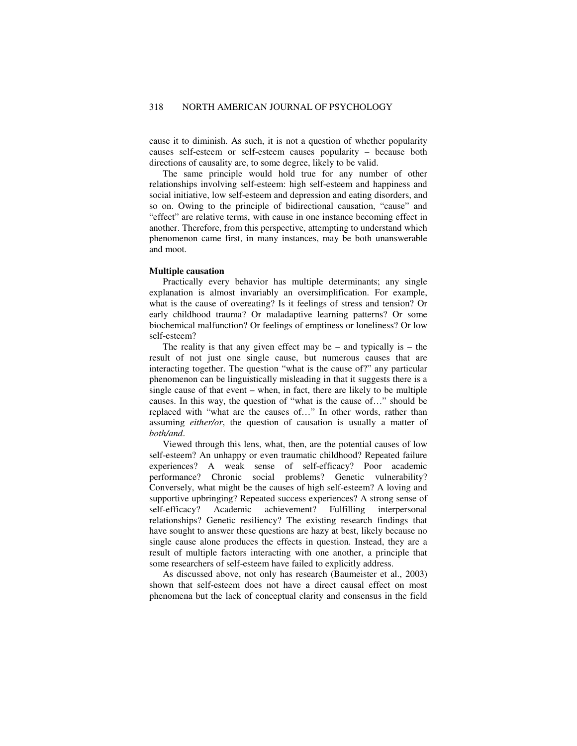cause it to diminish. As such, it is not a question of whether popularity causes self-esteem or self-esteem causes popularity – because both directions of causality are, to some degree, likely to be valid.

The same principle would hold true for any number of other relationships involving self-esteem: high self-esteem and happiness and social initiative, low self-esteem and depression and eating disorders, and so on. Owing to the principle of bidirectional causation, "cause" and "effect" are relative terms, with cause in one instance becoming effect in another. Therefore, from this perspective, attempting to understand which phenomenon came first, in many instances, may be both unanswerable and moot.

#### **Multiple causation**

Practically every behavior has multiple determinants; any single explanation is almost invariably an oversimplification. For example, what is the cause of overeating? Is it feelings of stress and tension? Or early childhood trauma? Or maladaptive learning patterns? Or some biochemical malfunction? Or feelings of emptiness or loneliness? Or low self-esteem?

The reality is that any given effect may be – and typically is – the result of not just one single cause, but numerous causes that are interacting together. The question "what is the cause of?" any particular phenomenon can be linguistically misleading in that it suggests there is a single cause of that event – when, in fact, there are likely to be multiple causes. In this way, the question of "what is the cause of…" should be replaced with "what are the causes of…" In other words, rather than assuming *either/or*, the question of causation is usually a matter of *both/and*.

Viewed through this lens, what, then, are the potential causes of low self-esteem? An unhappy or even traumatic childhood? Repeated failure experiences? A weak sense of self-efficacy? Poor academic performance? Chronic social problems? Genetic vulnerability? Conversely, what might be the causes of high self-esteem? A loving and supportive upbringing? Repeated success experiences? A strong sense of self-efficacy? Academic achievement? Fulfilling interpersonal relationships? Genetic resiliency? The existing research findings that have sought to answer these questions are hazy at best, likely because no single cause alone produces the effects in question. Instead, they are a result of multiple factors interacting with one another, a principle that some researchers of self-esteem have failed to explicitly address.

As discussed above, not only has research (Baumeister et al., 2003) shown that self-esteem does not have a direct causal effect on most phenomena but the lack of conceptual clarity and consensus in the field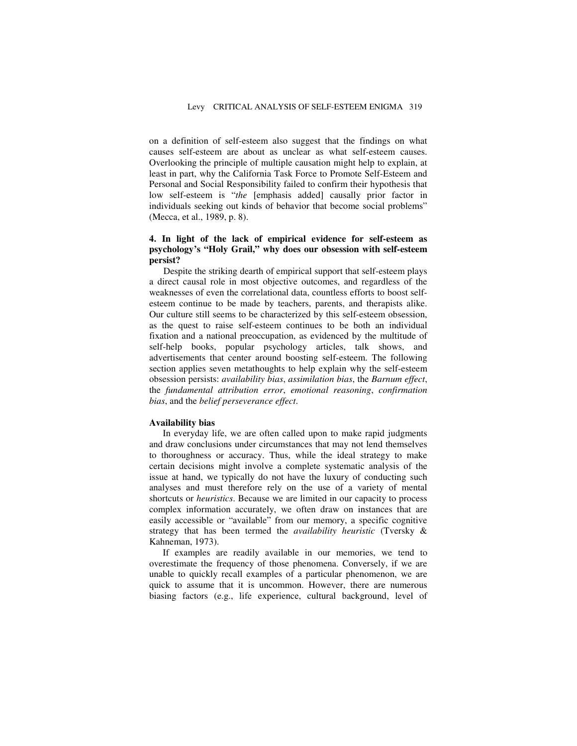on a definition of self-esteem also suggest that the findings on what causes self-esteem are about as unclear as what self-esteem causes. Overlooking the principle of multiple causation might help to explain, at least in part, why the California Task Force to Promote Self-Esteem and Personal and Social Responsibility failed to confirm their hypothesis that low self-esteem is "*the* [emphasis added] causally prior factor in individuals seeking out kinds of behavior that become social problems" (Mecca, et al., 1989, p. 8).

## **4. In light of the lack of empirical evidence for self-esteem as psychology's "Holy Grail," why does our obsession with self-esteem persist?**

Despite the striking dearth of empirical support that self-esteem plays a direct causal role in most objective outcomes, and regardless of the weaknesses of even the correlational data, countless efforts to boost selfesteem continue to be made by teachers, parents, and therapists alike. Our culture still seems to be characterized by this self-esteem obsession, as the quest to raise self-esteem continues to be both an individual fixation and a national preoccupation, as evidenced by the multitude of self-help books, popular psychology articles, talk shows, and advertisements that center around boosting self-esteem. The following section applies seven metathoughts to help explain why the self-esteem obsession persists: *availability bias*, *assimilation bias*, the *Barnum effect*, the *fundamental attribution error*, *emotional reasoning*, *confirmation bias*, and the *belief perseverance effect*.

#### **Availability bias**

In everyday life, we are often called upon to make rapid judgments and draw conclusions under circumstances that may not lend themselves to thoroughness or accuracy. Thus, while the ideal strategy to make certain decisions might involve a complete systematic analysis of the issue at hand, we typically do not have the luxury of conducting such analyses and must therefore rely on the use of a variety of mental shortcuts or *heuristics*. Because we are limited in our capacity to process complex information accurately, we often draw on instances that are easily accessible or "available" from our memory, a specific cognitive strategy that has been termed the *availability heuristic* (Tversky & Kahneman, 1973).

If examples are readily available in our memories, we tend to overestimate the frequency of those phenomena. Conversely, if we are unable to quickly recall examples of a particular phenomenon, we are quick to assume that it is uncommon. However, there are numerous biasing factors (e.g., life experience, cultural background, level of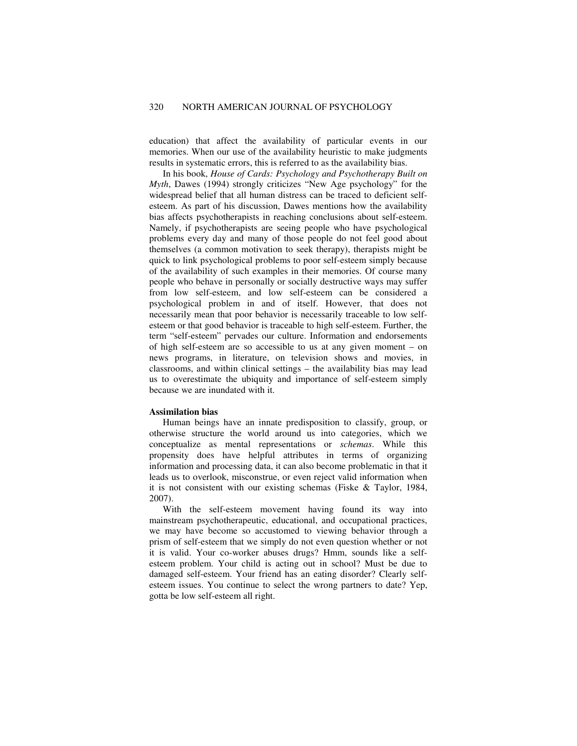education) that affect the availability of particular events in our memories. When our use of the availability heuristic to make judgments results in systematic errors, this is referred to as the availability bias.

In his book, *House of Cards: Psychology and Psychotherapy Built on Myth*, Dawes (1994) strongly criticizes "New Age psychology" for the widespread belief that all human distress can be traced to deficient selfesteem. As part of his discussion, Dawes mentions how the availability bias affects psychotherapists in reaching conclusions about self-esteem. Namely, if psychotherapists are seeing people who have psychological problems every day and many of those people do not feel good about themselves (a common motivation to seek therapy), therapists might be quick to link psychological problems to poor self-esteem simply because of the availability of such examples in their memories. Of course many people who behave in personally or socially destructive ways may suffer from low self-esteem, and low self-esteem can be considered a psychological problem in and of itself. However, that does not necessarily mean that poor behavior is necessarily traceable to low selfesteem or that good behavior is traceable to high self-esteem. Further, the term "self-esteem" pervades our culture. Information and endorsements of high self-esteem are so accessible to us at any given moment – on news programs, in literature, on television shows and movies, in classrooms, and within clinical settings – the availability bias may lead us to overestimate the ubiquity and importance of self-esteem simply because we are inundated with it.

#### **Assimilation bias**

Human beings have an innate predisposition to classify, group, or otherwise structure the world around us into categories, which we conceptualize as mental representations or *schemas*. While this propensity does have helpful attributes in terms of organizing information and processing data, it can also become problematic in that it leads us to overlook, misconstrue, or even reject valid information when it is not consistent with our existing schemas (Fiske & Taylor, 1984, 2007).

With the self-esteem movement having found its way into mainstream psychotherapeutic, educational, and occupational practices, we may have become so accustomed to viewing behavior through a prism of self-esteem that we simply do not even question whether or not it is valid. Your co-worker abuses drugs? Hmm, sounds like a selfesteem problem. Your child is acting out in school? Must be due to damaged self-esteem. Your friend has an eating disorder? Clearly selfesteem issues. You continue to select the wrong partners to date? Yep, gotta be low self-esteem all right.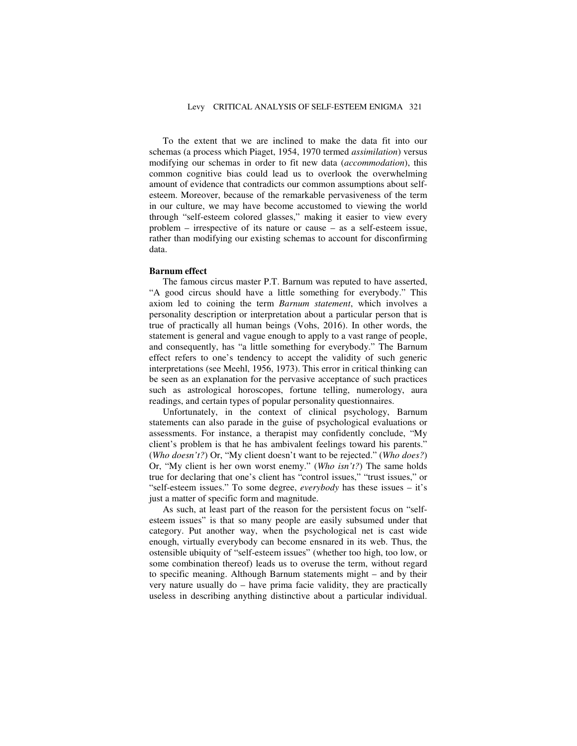To the extent that we are inclined to make the data fit into our schemas (a process which Piaget, 1954, 1970 termed *assimilation*) versus modifying our schemas in order to fit new data (*accommodation*), this common cognitive bias could lead us to overlook the overwhelming amount of evidence that contradicts our common assumptions about selfesteem. Moreover, because of the remarkable pervasiveness of the term in our culture, we may have become accustomed to viewing the world through "self-esteem colored glasses," making it easier to view every problem – irrespective of its nature or cause – as a self-esteem issue, rather than modifying our existing schemas to account for disconfirming data.

#### **Barnum effect**

The famous circus master P.T. Barnum was reputed to have asserted, "A good circus should have a little something for everybody." This axiom led to coining the term *Barnum statement*, which involves a personality description or interpretation about a particular person that is true of practically all human beings (Vohs, 2016). In other words, the statement is general and vague enough to apply to a vast range of people, and consequently, has "a little something for everybody." The Barnum effect refers to one's tendency to accept the validity of such generic interpretations (see Meehl, 1956, 1973). This error in critical thinking can be seen as an explanation for the pervasive acceptance of such practices such as astrological horoscopes, fortune telling, numerology, aura readings, and certain types of popular personality questionnaires.

Unfortunately, in the context of clinical psychology, Barnum statements can also parade in the guise of psychological evaluations or assessments. For instance, a therapist may confidently conclude, "My client's problem is that he has ambivalent feelings toward his parents." (*Who doesn't?*) Or, "My client doesn't want to be rejected." (*Who does?*) Or, "My client is her own worst enemy." (*Who isn't?*) The same holds true for declaring that one's client has "control issues," "trust issues," or "self-esteem issues." To some degree, *everybody* has these issues – it's just a matter of specific form and magnitude.

As such, at least part of the reason for the persistent focus on "selfesteem issues" is that so many people are easily subsumed under that category. Put another way, when the psychological net is cast wide enough, virtually everybody can become ensnared in its web. Thus, the ostensible ubiquity of "self-esteem issues" (whether too high, too low, or some combination thereof) leads us to overuse the term, without regard to specific meaning. Although Barnum statements might – and by their very nature usually do – have prima facie validity, they are practically useless in describing anything distinctive about a particular individual.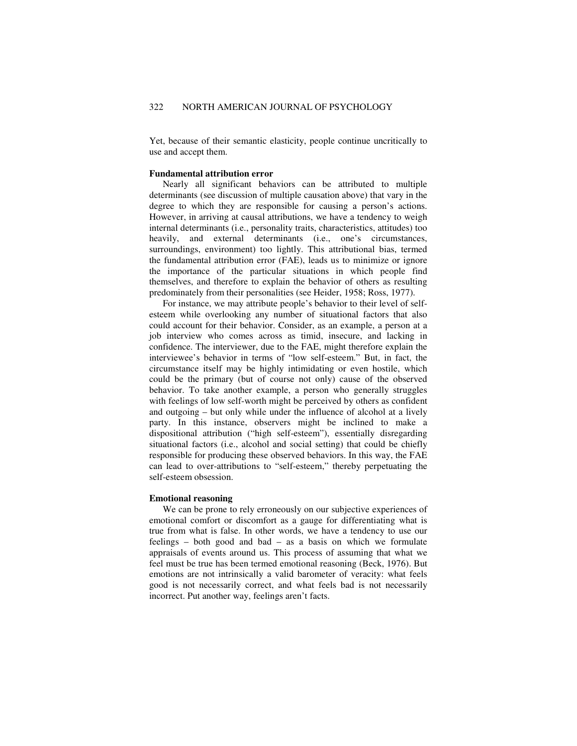Yet, because of their semantic elasticity, people continue uncritically to use and accept them.

#### **Fundamental attribution error**

Nearly all significant behaviors can be attributed to multiple determinants (see discussion of multiple causation above) that vary in the degree to which they are responsible for causing a person's actions. However, in arriving at causal attributions, we have a tendency to weigh internal determinants (i.e., personality traits, characteristics, attitudes) too heavily, and external determinants (i.e., one's circumstances, surroundings, environment) too lightly. This attributional bias, termed the fundamental attribution error (FAE), leads us to minimize or ignore the importance of the particular situations in which people find themselves, and therefore to explain the behavior of others as resulting predominately from their personalities (see Heider, 1958; Ross, 1977).

For instance, we may attribute people's behavior to their level of selfesteem while overlooking any number of situational factors that also could account for their behavior. Consider, as an example, a person at a job interview who comes across as timid, insecure, and lacking in confidence. The interviewer, due to the FAE, might therefore explain the interviewee's behavior in terms of "low self-esteem." But, in fact, the circumstance itself may be highly intimidating or even hostile, which could be the primary (but of course not only) cause of the observed behavior. To take another example, a person who generally struggles with feelings of low self-worth might be perceived by others as confident and outgoing – but only while under the influence of alcohol at a lively party. In this instance, observers might be inclined to make a dispositional attribution ("high self-esteem"), essentially disregarding situational factors (i.e., alcohol and social setting) that could be chiefly responsible for producing these observed behaviors. In this way, the FAE can lead to over-attributions to "self-esteem," thereby perpetuating the self-esteem obsession.

#### **Emotional reasoning**

We can be prone to rely erroneously on our subjective experiences of emotional comfort or discomfort as a gauge for differentiating what is true from what is false. In other words, we have a tendency to use our feelings – both good and bad – as a basis on which we formulate appraisals of events around us. This process of assuming that what we feel must be true has been termed emotional reasoning (Beck, 1976). But emotions are not intrinsically a valid barometer of veracity: what feels good is not necessarily correct, and what feels bad is not necessarily incorrect. Put another way, feelings aren't facts.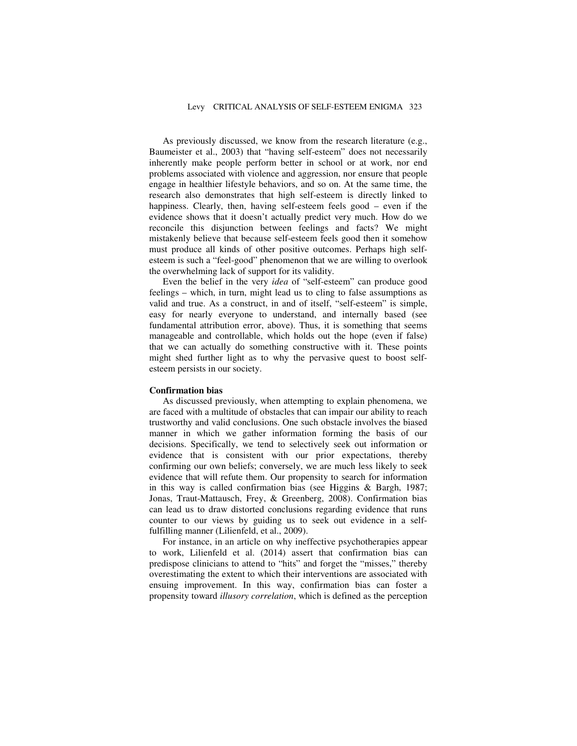As previously discussed, we know from the research literature (e.g., Baumeister et al., 2003) that "having self-esteem" does not necessarily inherently make people perform better in school or at work, nor end problems associated with violence and aggression, nor ensure that people engage in healthier lifestyle behaviors, and so on. At the same time, the research also demonstrates that high self-esteem is directly linked to happiness. Clearly, then, having self-esteem feels good – even if the evidence shows that it doesn't actually predict very much. How do we reconcile this disjunction between feelings and facts? We might mistakenly believe that because self-esteem feels good then it somehow must produce all kinds of other positive outcomes. Perhaps high selfesteem is such a "feel-good" phenomenon that we are willing to overlook the overwhelming lack of support for its validity.

Even the belief in the very *idea* of "self-esteem" can produce good feelings – which, in turn, might lead us to cling to false assumptions as valid and true. As a construct, in and of itself, "self-esteem" is simple, easy for nearly everyone to understand, and internally based (see fundamental attribution error, above). Thus, it is something that seems manageable and controllable, which holds out the hope (even if false) that we can actually do something constructive with it. These points might shed further light as to why the pervasive quest to boost selfesteem persists in our society.

#### **Confirmation bias**

As discussed previously, when attempting to explain phenomena, we are faced with a multitude of obstacles that can impair our ability to reach trustworthy and valid conclusions. One such obstacle involves the biased manner in which we gather information forming the basis of our decisions. Specifically, we tend to selectively seek out information or evidence that is consistent with our prior expectations, thereby confirming our own beliefs; conversely, we are much less likely to seek evidence that will refute them. Our propensity to search for information in this way is called confirmation bias (see Higgins & Bargh, 1987; Jonas, Traut-Mattausch, Frey, & Greenberg, 2008). Confirmation bias can lead us to draw distorted conclusions regarding evidence that runs counter to our views by guiding us to seek out evidence in a selffulfilling manner (Lilienfeld, et al., 2009).

For instance, in an article on why ineffective psychotherapies appear to work, Lilienfeld et al. (2014) assert that confirmation bias can predispose clinicians to attend to "hits" and forget the "misses," thereby overestimating the extent to which their interventions are associated with ensuing improvement. In this way, confirmation bias can foster a propensity toward *illusory correlation*, which is defined as the perception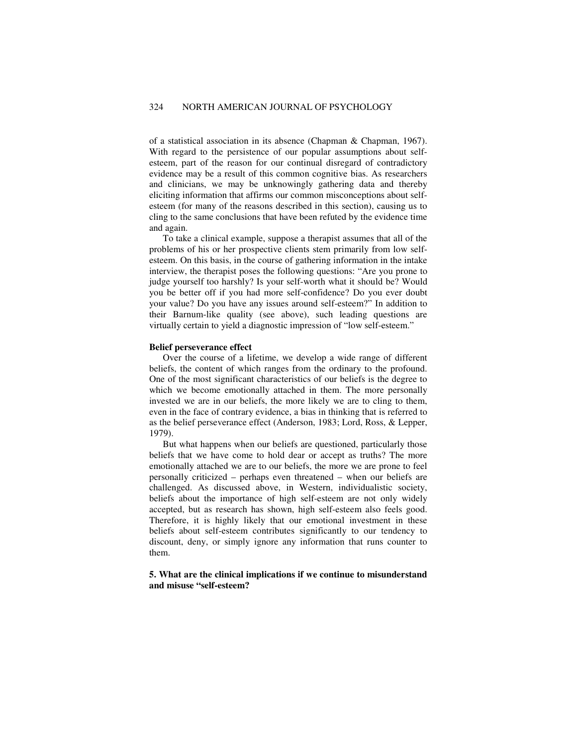of a statistical association in its absence (Chapman & Chapman, 1967). With regard to the persistence of our popular assumptions about selfesteem, part of the reason for our continual disregard of contradictory evidence may be a result of this common cognitive bias. As researchers and clinicians, we may be unknowingly gathering data and thereby eliciting information that affirms our common misconceptions about selfesteem (for many of the reasons described in this section), causing us to cling to the same conclusions that have been refuted by the evidence time and again.

To take a clinical example, suppose a therapist assumes that all of the problems of his or her prospective clients stem primarily from low selfesteem. On this basis, in the course of gathering information in the intake interview, the therapist poses the following questions: "Are you prone to judge yourself too harshly? Is your self-worth what it should be? Would you be better off if you had more self-confidence? Do you ever doubt your value? Do you have any issues around self-esteem?" In addition to their Barnum-like quality (see above), such leading questions are virtually certain to yield a diagnostic impression of "low self-esteem."

#### **Belief perseverance effect**

Over the course of a lifetime, we develop a wide range of different beliefs, the content of which ranges from the ordinary to the profound. One of the most significant characteristics of our beliefs is the degree to which we become emotionally attached in them. The more personally invested we are in our beliefs, the more likely we are to cling to them, even in the face of contrary evidence, a bias in thinking that is referred to as the belief perseverance effect (Anderson, 1983; Lord, Ross, & Lepper, 1979).

But what happens when our beliefs are questioned, particularly those beliefs that we have come to hold dear or accept as truths? The more emotionally attached we are to our beliefs, the more we are prone to feel personally criticized – perhaps even threatened – when our beliefs are challenged. As discussed above, in Western, individualistic society, beliefs about the importance of high self-esteem are not only widely accepted, but as research has shown, high self-esteem also feels good. Therefore, it is highly likely that our emotional investment in these beliefs about self-esteem contributes significantly to our tendency to discount, deny, or simply ignore any information that runs counter to them.

## **5. What are the clinical implications if we continue to misunderstand and misuse "self-esteem?**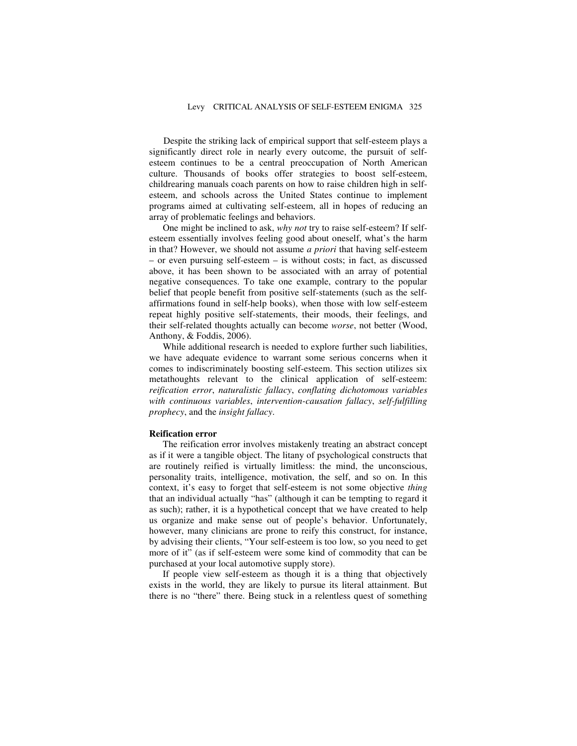Despite the striking lack of empirical support that self-esteem plays a significantly direct role in nearly every outcome, the pursuit of selfesteem continues to be a central preoccupation of North American culture. Thousands of books offer strategies to boost self-esteem, childrearing manuals coach parents on how to raise children high in selfesteem, and schools across the United States continue to implement programs aimed at cultivating self-esteem, all in hopes of reducing an array of problematic feelings and behaviors.

One might be inclined to ask, *why not* try to raise self-esteem? If selfesteem essentially involves feeling good about oneself, what's the harm in that? However, we should not assume *a priori* that having self-esteem – or even pursuing self-esteem – is without costs; in fact, as discussed above, it has been shown to be associated with an array of potential negative consequences. To take one example, contrary to the popular belief that people benefit from positive self-statements (such as the selfaffirmations found in self-help books), when those with low self-esteem repeat highly positive self-statements, their moods, their feelings, and their self-related thoughts actually can become *worse*, not better (Wood, Anthony, & Foddis, 2006).

While additional research is needed to explore further such liabilities, we have adequate evidence to warrant some serious concerns when it comes to indiscriminately boosting self-esteem. This section utilizes six metathoughts relevant to the clinical application of self-esteem: *reification error*, *naturalistic fallacy*, *conflating dichotomous variables with continuous variables*, *intervention-causation fallacy*, *self-fulfilling prophecy*, and the *insight fallacy*.

#### **Reification error**

The reification error involves mistakenly treating an abstract concept as if it were a tangible object. The litany of psychological constructs that are routinely reified is virtually limitless: the mind, the unconscious, personality traits, intelligence, motivation, the self, and so on. In this context, it's easy to forget that self-esteem is not some objective *thing* that an individual actually "has" (although it can be tempting to regard it as such); rather, it is a hypothetical concept that we have created to help us organize and make sense out of people's behavior. Unfortunately, however, many clinicians are prone to reify this construct, for instance, by advising their clients, "Your self-esteem is too low, so you need to get more of it" (as if self-esteem were some kind of commodity that can be purchased at your local automotive supply store).

If people view self-esteem as though it is a thing that objectively exists in the world, they are likely to pursue its literal attainment. But there is no "there" there. Being stuck in a relentless quest of something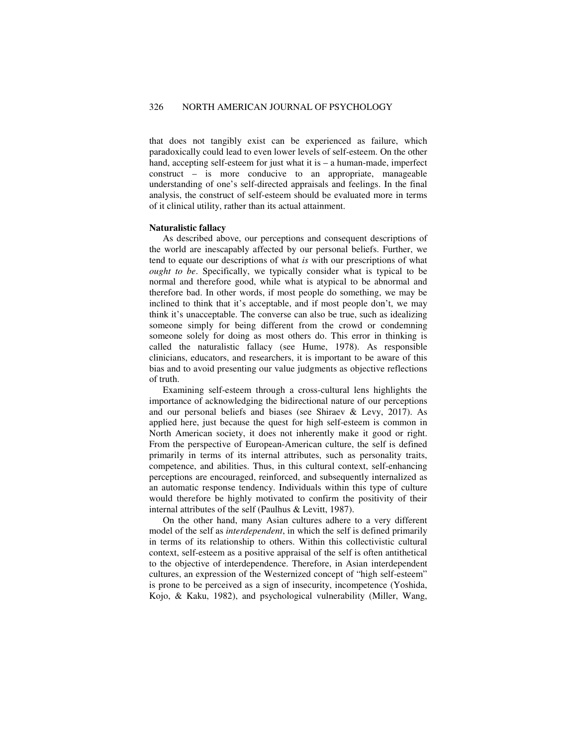that does not tangibly exist can be experienced as failure, which paradoxically could lead to even lower levels of self-esteem. On the other hand, accepting self-esteem for just what it is – a human-made, imperfect construct – is more conducive to an appropriate, manageable understanding of one's self-directed appraisals and feelings. In the final analysis, the construct of self-esteem should be evaluated more in terms of it clinical utility, rather than its actual attainment.

#### **Naturalistic fallacy**

As described above, our perceptions and consequent descriptions of the world are inescapably affected by our personal beliefs. Further, we tend to equate our descriptions of what *is* with our prescriptions of what *ought to be*. Specifically, we typically consider what is typical to be normal and therefore good, while what is atypical to be abnormal and therefore bad. In other words, if most people do something, we may be inclined to think that it's acceptable, and if most people don't, we may think it's unacceptable. The converse can also be true, such as idealizing someone simply for being different from the crowd or condemning someone solely for doing as most others do. This error in thinking is called the naturalistic fallacy (see Hume, 1978). As responsible clinicians, educators, and researchers, it is important to be aware of this bias and to avoid presenting our value judgments as objective reflections of truth.

Examining self-esteem through a cross-cultural lens highlights the importance of acknowledging the bidirectional nature of our perceptions and our personal beliefs and biases (see Shiraev & Levy, 2017). As applied here, just because the quest for high self-esteem is common in North American society, it does not inherently make it good or right. From the perspective of European-American culture, the self is defined primarily in terms of its internal attributes, such as personality traits, competence, and abilities. Thus, in this cultural context, self-enhancing perceptions are encouraged, reinforced, and subsequently internalized as an automatic response tendency. Individuals within this type of culture would therefore be highly motivated to confirm the positivity of their internal attributes of the self (Paulhus & Levitt, 1987).

On the other hand, many Asian cultures adhere to a very different model of the self as *interdependent*, in which the self is defined primarily in terms of its relationship to others. Within this collectivistic cultural context, self-esteem as a positive appraisal of the self is often antithetical to the objective of interdependence. Therefore, in Asian interdependent cultures, an expression of the Westernized concept of "high self-esteem" is prone to be perceived as a sign of insecurity, incompetence (Yoshida, Kojo, & Kaku, 1982), and psychological vulnerability (Miller, Wang,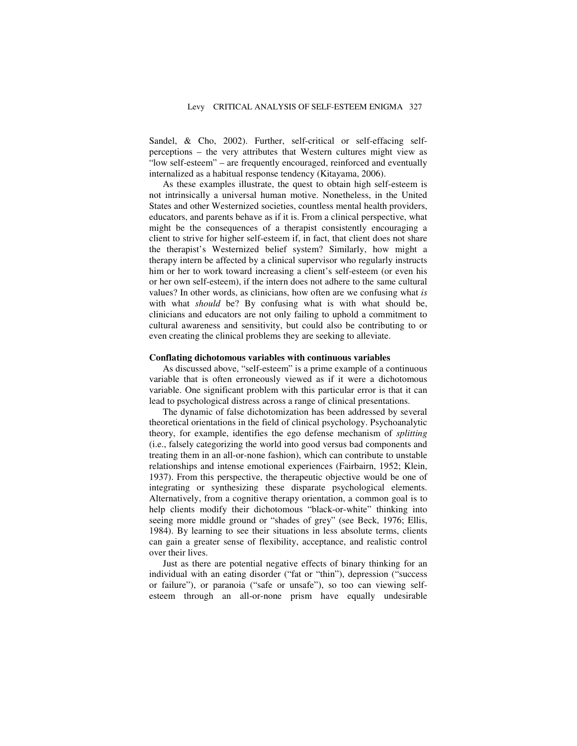Sandel, & Cho, 2002). Further, self-critical or self-effacing selfperceptions – the very attributes that Western cultures might view as "low self-esteem" – are frequently encouraged, reinforced and eventually internalized as a habitual response tendency (Kitayama, 2006).

As these examples illustrate, the quest to obtain high self-esteem is not intrinsically a universal human motive. Nonetheless, in the United States and other Westernized societies, countless mental health providers, educators, and parents behave as if it is. From a clinical perspective, what might be the consequences of a therapist consistently encouraging a client to strive for higher self-esteem if, in fact, that client does not share the therapist's Westernized belief system? Similarly, how might a therapy intern be affected by a clinical supervisor who regularly instructs him or her to work toward increasing a client's self-esteem (or even his or her own self-esteem), if the intern does not adhere to the same cultural values? In other words, as clinicians, how often are we confusing what *is* with what *should* be? By confusing what is with what should be, clinicians and educators are not only failing to uphold a commitment to cultural awareness and sensitivity, but could also be contributing to or even creating the clinical problems they are seeking to alleviate.

#### **Conflating dichotomous variables with continuous variables**

As discussed above, "self-esteem" is a prime example of a continuous variable that is often erroneously viewed as if it were a dichotomous variable. One significant problem with this particular error is that it can lead to psychological distress across a range of clinical presentations.

The dynamic of false dichotomization has been addressed by several theoretical orientations in the field of clinical psychology. Psychoanalytic theory, for example, identifies the ego defense mechanism of *splitting* (i.e., falsely categorizing the world into good versus bad components and treating them in an all-or-none fashion), which can contribute to unstable relationships and intense emotional experiences (Fairbairn, 1952; Klein, 1937). From this perspective, the therapeutic objective would be one of integrating or synthesizing these disparate psychological elements. Alternatively, from a cognitive therapy orientation, a common goal is to help clients modify their dichotomous "black-or-white" thinking into seeing more middle ground or "shades of grey" (see Beck, 1976; Ellis, 1984). By learning to see their situations in less absolute terms, clients can gain a greater sense of flexibility, acceptance, and realistic control over their lives.

Just as there are potential negative effects of binary thinking for an individual with an eating disorder ("fat or "thin"), depression ("success or failure"), or paranoia ("safe or unsafe"), so too can viewing selfesteem through an all-or-none prism have equally undesirable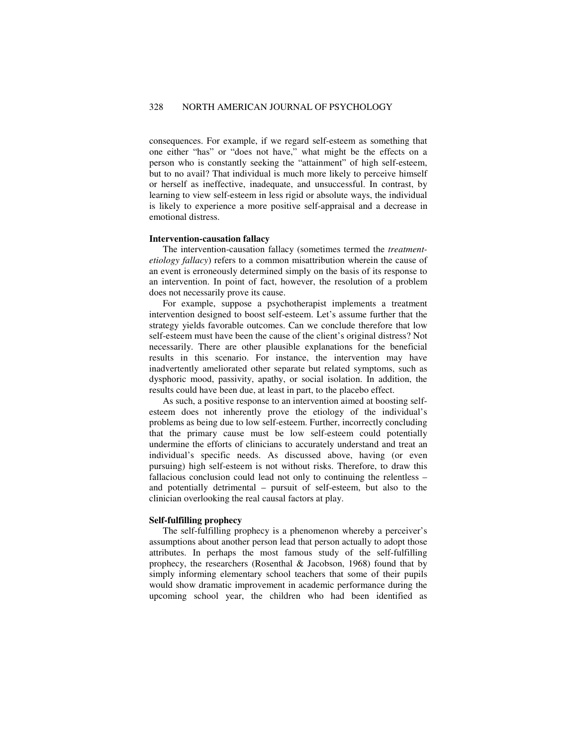consequences. For example, if we regard self-esteem as something that one either "has" or "does not have," what might be the effects on a person who is constantly seeking the "attainment" of high self-esteem, but to no avail? That individual is much more likely to perceive himself or herself as ineffective, inadequate, and unsuccessful. In contrast, by learning to view self-esteem in less rigid or absolute ways, the individual is likely to experience a more positive self-appraisal and a decrease in emotional distress.

#### **Intervention-causation fallacy**

The intervention-causation fallacy (sometimes termed the *treatmentetiology fallacy*) refers to a common misattribution wherein the cause of an event is erroneously determined simply on the basis of its response to an intervention. In point of fact, however, the resolution of a problem does not necessarily prove its cause.

For example, suppose a psychotherapist implements a treatment intervention designed to boost self-esteem. Let's assume further that the strategy yields favorable outcomes. Can we conclude therefore that low self-esteem must have been the cause of the client's original distress? Not necessarily. There are other plausible explanations for the beneficial results in this scenario. For instance, the intervention may have inadvertently ameliorated other separate but related symptoms, such as dysphoric mood, passivity, apathy, or social isolation. In addition, the results could have been due, at least in part, to the placebo effect.

As such, a positive response to an intervention aimed at boosting selfesteem does not inherently prove the etiology of the individual's problems as being due to low self-esteem. Further, incorrectly concluding that the primary cause must be low self-esteem could potentially undermine the efforts of clinicians to accurately understand and treat an individual's specific needs. As discussed above, having (or even pursuing) high self-esteem is not without risks. Therefore, to draw this fallacious conclusion could lead not only to continuing the relentless – and potentially detrimental – pursuit of self-esteem, but also to the clinician overlooking the real causal factors at play.

#### **Self-fulfilling prophecy**

The self-fulfilling prophecy is a phenomenon whereby a perceiver's assumptions about another person lead that person actually to adopt those attributes. In perhaps the most famous study of the self-fulfilling prophecy, the researchers (Rosenthal & Jacobson, 1968) found that by simply informing elementary school teachers that some of their pupils would show dramatic improvement in academic performance during the upcoming school year, the children who had been identified as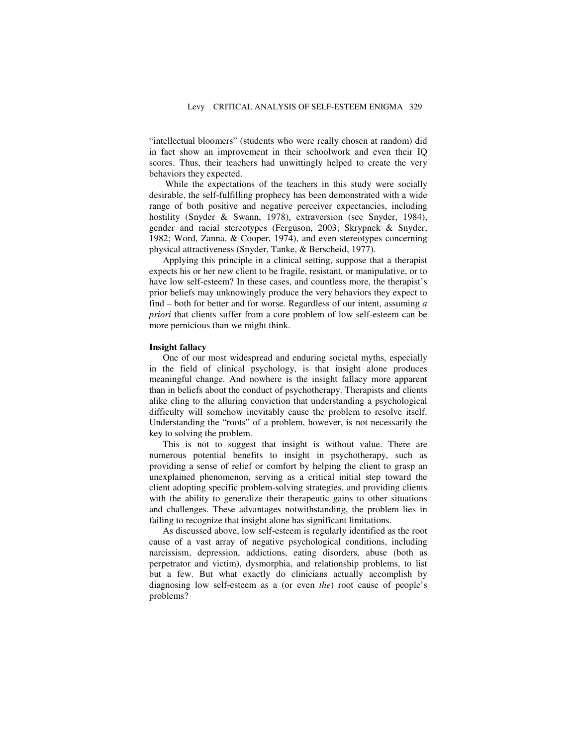"intellectual bloomers" (students who were really chosen at random) did in fact show an improvement in their schoolwork and even their IQ scores. Thus, their teachers had unwittingly helped to create the very behaviors they expected.

 While the expectations of the teachers in this study were socially desirable, the self-fulfilling prophecy has been demonstrated with a wide range of both positive and negative perceiver expectancies, including hostility (Snyder & Swann, 1978), extraversion (see Snyder, 1984), gender and racial stereotypes (Ferguson, 2003; Skrypnek & Snyder, 1982; Word, Zanna, & Cooper, 1974), and even stereotypes concerning physical attractiveness (Snyder, Tanke, & Berscheid, 1977).

Applying this principle in a clinical setting, suppose that a therapist expects his or her new client to be fragile, resistant, or manipulative, or to have low self-esteem? In these cases, and countless more, the therapist's prior beliefs may unknowingly produce the very behaviors they expect to find – both for better and for worse. Regardless of our intent, assuming *a priori* that clients suffer from a core problem of low self-esteem can be more pernicious than we might think.

#### **Insight fallacy**

One of our most widespread and enduring societal myths, especially in the field of clinical psychology, is that insight alone produces meaningful change. And nowhere is the insight fallacy more apparent than in beliefs about the conduct of psychotherapy. Therapists and clients alike cling to the alluring conviction that understanding a psychological difficulty will somehow inevitably cause the problem to resolve itself. Understanding the "roots" of a problem, however, is not necessarily the key to solving the problem.

This is not to suggest that insight is without value. There are numerous potential benefits to insight in psychotherapy, such as providing a sense of relief or comfort by helping the client to grasp an unexplained phenomenon, serving as a critical initial step toward the client adopting specific problem-solving strategies, and providing clients with the ability to generalize their therapeutic gains to other situations and challenges. These advantages notwithstanding, the problem lies in failing to recognize that insight alone has significant limitations.

As discussed above, low self-esteem is regularly identified as the root cause of a vast array of negative psychological conditions, including narcissism, depression, addictions, eating disorders, abuse (both as perpetrator and victim), dysmorphia, and relationship problems, to list but a few. But what exactly do clinicians actually accomplish by diagnosing low self-esteem as a (or even *the*) root cause of people's problems?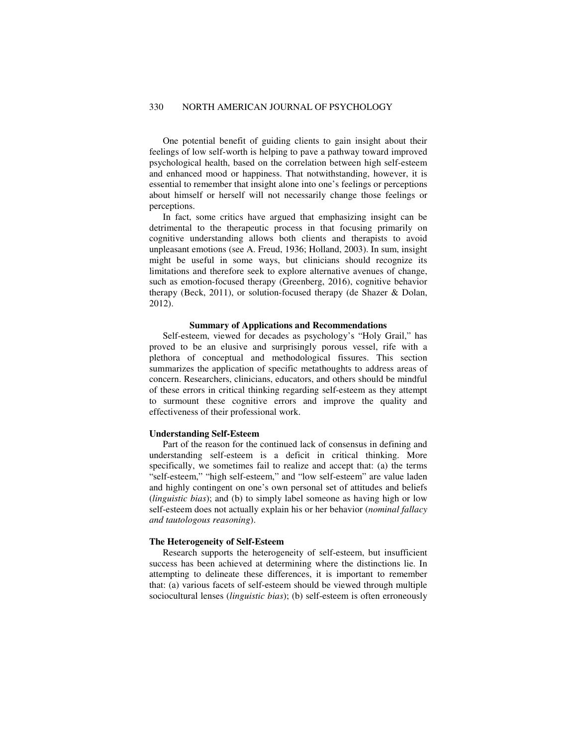One potential benefit of guiding clients to gain insight about their feelings of low self-worth is helping to pave a pathway toward improved psychological health, based on the correlation between high self-esteem and enhanced mood or happiness. That notwithstanding, however, it is essential to remember that insight alone into one's feelings or perceptions about himself or herself will not necessarily change those feelings or perceptions.

In fact, some critics have argued that emphasizing insight can be detrimental to the therapeutic process in that focusing primarily on cognitive understanding allows both clients and therapists to avoid unpleasant emotions (see A. Freud, 1936; Holland, 2003). In sum, insight might be useful in some ways, but clinicians should recognize its limitations and therefore seek to explore alternative avenues of change, such as emotion-focused therapy (Greenberg, 2016), cognitive behavior therapy (Beck, 2011), or solution-focused therapy (de Shazer & Dolan, 2012).

## **Summary of Applications and Recommendations**

Self-esteem, viewed for decades as psychology's "Holy Grail," has proved to be an elusive and surprisingly porous vessel, rife with a plethora of conceptual and methodological fissures. This section summarizes the application of specific metathoughts to address areas of concern. Researchers, clinicians, educators, and others should be mindful of these errors in critical thinking regarding self-esteem as they attempt to surmount these cognitive errors and improve the quality and effectiveness of their professional work.

#### **Understanding Self-Esteem**

Part of the reason for the continued lack of consensus in defining and understanding self-esteem is a deficit in critical thinking. More specifically, we sometimes fail to realize and accept that: (a) the terms "self-esteem," "high self-esteem," and "low self-esteem" are value laden and highly contingent on one's own personal set of attitudes and beliefs (*linguistic bias*); and (b) to simply label someone as having high or low self-esteem does not actually explain his or her behavior (*nominal fallacy and tautologous reasoning*).

#### **The Heterogeneity of Self-Esteem**

Research supports the heterogeneity of self-esteem, but insufficient success has been achieved at determining where the distinctions lie. In attempting to delineate these differences, it is important to remember that: (a) various facets of self-esteem should be viewed through multiple sociocultural lenses (*linguistic bias*); (b) self-esteem is often erroneously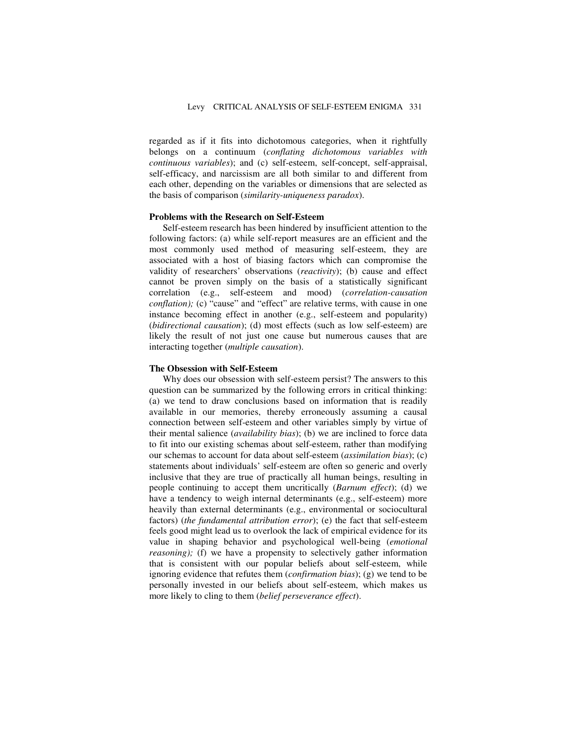regarded as if it fits into dichotomous categories, when it rightfully belongs on a continuum (*conflating dichotomous variables with continuous variables*); and (c) self-esteem, self-concept, self-appraisal, self-efficacy, and narcissism are all both similar to and different from each other, depending on the variables or dimensions that are selected as the basis of comparison (*similarity-uniqueness paradox*).

## **Problems with the Research on Self-Esteem**

Self-esteem research has been hindered by insufficient attention to the following factors: (a) while self-report measures are an efficient and the most commonly used method of measuring self-esteem, they are associated with a host of biasing factors which can compromise the validity of researchers' observations (*reactivity*); (b) cause and effect cannot be proven simply on the basis of a statistically significant correlation (e.g., self-esteem and mood) (*correlation-causation conflation);* (c) "cause" and "effect" are relative terms, with cause in one instance becoming effect in another (e.g., self-esteem and popularity) (*bidirectional causation*); (d) most effects (such as low self-esteem) are likely the result of not just one cause but numerous causes that are interacting together (*multiple causation*).

#### **The Obsession with Self-Esteem**

Why does our obsession with self-esteem persist? The answers to this question can be summarized by the following errors in critical thinking: (a) we tend to draw conclusions based on information that is readily available in our memories, thereby erroneously assuming a causal connection between self-esteem and other variables simply by virtue of their mental salience (*availability bias*); (b) we are inclined to force data to fit into our existing schemas about self-esteem, rather than modifying our schemas to account for data about self-esteem (*assimilation bias*); (c) statements about individuals' self-esteem are often so generic and overly inclusive that they are true of practically all human beings, resulting in people continuing to accept them uncritically (*Barnum effect*); (d) we have a tendency to weigh internal determinants (e.g., self-esteem) more heavily than external determinants (e.g., environmental or sociocultural factors) (*the fundamental attribution error*); (e) the fact that self-esteem feels good might lead us to overlook the lack of empirical evidence for its value in shaping behavior and psychological well-being (*emotional reasoning*); (f) we have a propensity to selectively gather information that is consistent with our popular beliefs about self-esteem, while ignoring evidence that refutes them (*confirmation bias*); (g) we tend to be personally invested in our beliefs about self-esteem, which makes us more likely to cling to them (*belief perseverance effect*).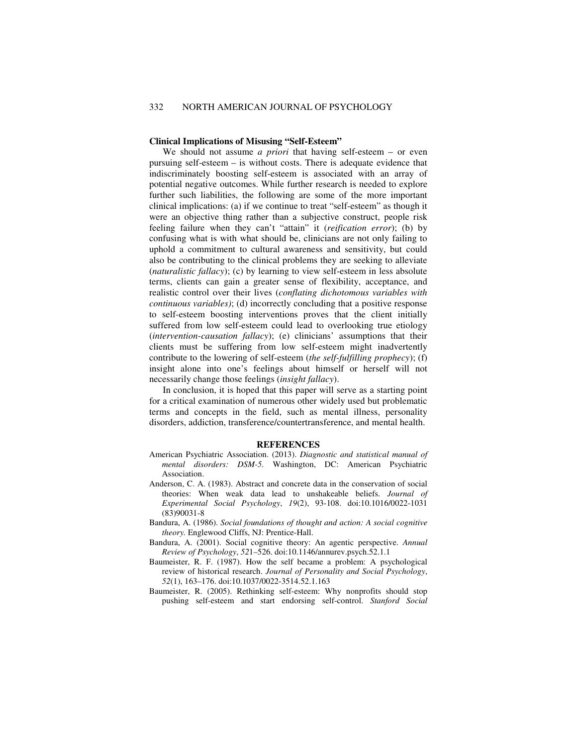#### **Clinical Implications of Misusing "Self-Esteem"**

We should not assume *a priori* that having self-esteem – or even pursuing self-esteem – is without costs. There is adequate evidence that indiscriminately boosting self-esteem is associated with an array of potential negative outcomes. While further research is needed to explore further such liabilities, the following are some of the more important clinical implications: (a) if we continue to treat "self-esteem" as though it were an objective thing rather than a subjective construct, people risk feeling failure when they can't "attain" it (*reification error*); (b) by confusing what is with what should be, clinicians are not only failing to uphold a commitment to cultural awareness and sensitivity, but could also be contributing to the clinical problems they are seeking to alleviate (*naturalistic fallacy*); (c) by learning to view self-esteem in less absolute terms, clients can gain a greater sense of flexibility, acceptance, and realistic control over their lives (*conflating dichotomous variables with continuous variables)*; (d) incorrectly concluding that a positive response to self-esteem boosting interventions proves that the client initially suffered from low self-esteem could lead to overlooking true etiology (*intervention-causation fallacy*); (e) clinicians' assumptions that their clients must be suffering from low self-esteem might inadvertently contribute to the lowering of self-esteem (*the self-fulfilling prophecy*); (f) insight alone into one's feelings about himself or herself will not necessarily change those feelings (*insight fallacy*).

In conclusion, it is hoped that this paper will serve as a starting point for a critical examination of numerous other widely used but problematic terms and concepts in the field, such as mental illness, personality disorders, addiction, transference/countertransference, and mental health.

#### **REFERENCES**

- American Psychiatric Association. (2013). *Diagnostic and statistical manual of mental disorders: DSM-5.* Washington, DC: American Psychiatric Association.
- Anderson, C. A. (1983). Abstract and concrete data in the conservation of social theories: When weak data lead to unshakeable beliefs. *Journal of Experimental Social Psychology*, *19*(2), 93-108. doi:10.1016/0022-1031 (83)90031-8
- Bandura, A. (1986). *Social foundations of thought and action: A social cognitive theory.* Englewood Cliffs, NJ: Prentice-Hall.
- Bandura, A. (2001). Social cognitive theory: An agentic perspective. *Annual Review of Psychology*, *52*1–526. doi:10.1146/annurev.psych.52.1.1
- Baumeister, R. F. (1987). How the self became a problem: A psychological review of historical research. *Journal of Personality and Social Psychology*, *52*(1), 163–176. doi:10.1037/0022-3514.52.1.163
- Baumeister, R. (2005). Rethinking self-esteem: Why nonprofits should stop pushing self-esteem and start endorsing self-control. *Stanford Social*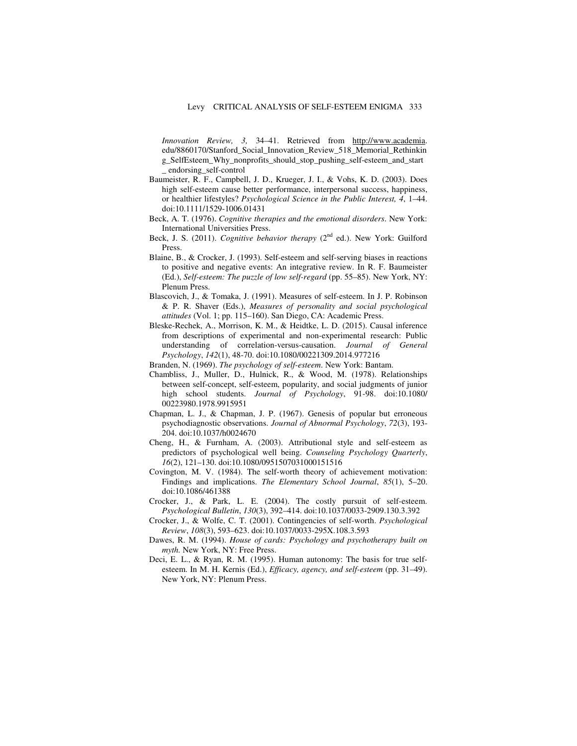*Innovation Review, 3,* 34–41. Retrieved from http://www.academia. edu/8860170/Stanford\_Social\_Innovation\_Review\_518\_Memorial\_Rethinkin g\_SelfEsteem\_Why\_nonprofits\_should\_stop\_pushing\_self-esteem\_and\_start \_ endorsing\_self-control

- Baumeister, R. F., Campbell, J. D., Krueger, J. I., & Vohs, K. D. (2003). Does high self-esteem cause better performance, interpersonal success, happiness, or healthier lifestyles? *Psychological Science in the Public Interest, 4*, 1–44. doi:10.1111/1529-1006.01431
- Beck, A. T. (1976). *Cognitive therapies and the emotional disorders*. New York: International Universities Press.
- Beck, J. S. (2011). *Cognitive behavior therapy* (2<sup>nd</sup> ed.). New York: Guilford Press.
- Blaine, B., & Crocker, J. (1993). Self-esteem and self-serving biases in reactions to positive and negative events: An integrative review. In R. F. Baumeister (Ed.), *Self-esteem: The puzzle of low self-regard* (pp. 55–85). New York, NY: Plenum Press.
- Blascovich, J., & Tomaka, J. (1991). Measures of self-esteem. In J. P. Robinson & P. R. Shaver (Eds.), *Measures of personality and social psychological attitudes* (Vol. 1; pp. 115–160). San Diego, CA: Academic Press.
- Bleske-Rechek, A., Morrison, K. M., & Heidtke, L. D. (2015). Causal inference from descriptions of experimental and non-experimental research: Public understanding of correlation-versus-causation. *Journal of General Psychology*, *142*(1), 48-70. doi:10.1080/00221309.2014.977216
- Branden, N. (1969). *The psychology of self-esteem*. New York: Bantam.
- Chambliss, J., Muller, D., Hulnick, R., & Wood, M. (1978). Relationships between self-concept, self-esteem, popularity, and social judgments of junior high school students. *Journal of Psychology*, 91-98. doi:10.1080/ 00223980.1978.9915951
- Chapman, L. J., & Chapman, J. P. (1967). Genesis of popular but erroneous psychodiagnostic observations. *Journal of Abnormal Psychology*, *72*(3), 193- 204. doi:10.1037/h0024670
- Cheng, H., & Furnham, A. (2003). Attributional style and self-esteem as predictors of psychological well being. *Counseling Psychology Quarterly*, *16*(2), 121–130. doi:10.1080/0951507031000151516
- Covington, M. V. (1984). The self-worth theory of achievement motivation: Findings and implications. *The Elementary School Journal*, *85*(1), 5–20. doi:10.1086/461388
- Crocker, J., & Park, L. E. (2004). The costly pursuit of self-esteem. *Psychological Bulletin*, *130*(3), 392–414. doi:10.1037/0033-2909.130.3.392
- Crocker, J., & Wolfe, C. T. (2001). Contingencies of self-worth. *Psychological Review*, *108*(3), 593–623. doi:10.1037/0033-295X.108.3.593
- Dawes, R. M. (1994). *House of cards: Psychology and psychotherapy built on myth.* New York, NY: Free Press.
- Deci, E. L., & Ryan, R. M. (1995). Human autonomy: The basis for true selfesteem. In M. H. Kernis (Ed.), *Efficacy, agency, and self-esteem* (pp. 31–49). New York, NY: Plenum Press.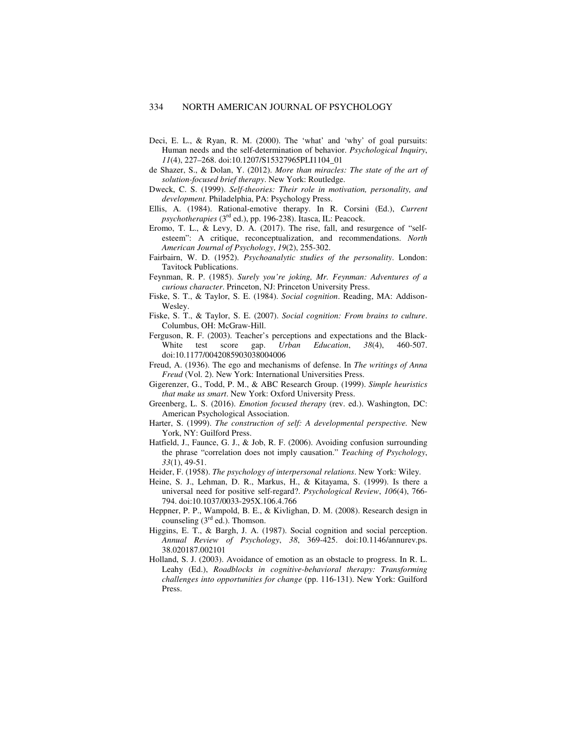- Deci, E. L., & Ryan, R. M. (2000). The 'what' and 'why' of goal pursuits: Human needs and the self-determination of behavior. *Psychological Inquiry*, *11*(4), 227–268. doi:10.1207/S15327965PLI1104\_01
- de Shazer, S., & Dolan, Y. (2012). *More than miracles: The state of the art of solution-focused brief therapy*. New York: Routledge.
- Dweck, C. S. (1999). *Self-theories: Their role in motivation, personality, and development.* Philadelphia, PA: Psychology Press.
- Ellis, A. (1984). Rational-emotive therapy. In R. Corsini (Ed.), *Current psychotherapies* (3rd ed.), pp. 196-238). Itasca, IL: Peacock.
- Eromo, T. L., & Levy, D. A. (2017). The rise, fall, and resurgence of "selfesteem": A critique, reconceptualization, and recommendations. *North American Journal of Psychology*, *19*(2), 255-302.
- Fairbairn, W. D. (1952). *Psychoanalytic studies of the personality*. London: Tavitock Publications.
- Feynman, R. P. (1985). *Surely you're joking, Mr. Feynman: Adventures of a curious character*. Princeton, NJ: Princeton University Press.
- Fiske, S. T., & Taylor, S. E. (1984). *Social cognition*. Reading, MA: Addison-Wesley.
- Fiske, S. T., & Taylor, S. E. (2007). *Social cognition: From brains to culture*. Columbus, OH: McGraw-Hill.
- Ferguson, R. F. (2003). Teacher's perceptions and expectations and the Black-White test score gap. *Urban Education*, *38*(4), 460-507. doi:10.1177/0042085903038004006
- Freud, A. (1936). The ego and mechanisms of defense. In *The writings of Anna Freud* (Vol. 2). New York: International Universities Press.
- Gigerenzer, G., Todd, P. M., & ABC Research Group. (1999). *Simple heuristics that make us smart*. New York: Oxford University Press.
- Greenberg, L. S. (2016). *Emotion focused therapy* (rev. ed.). Washington, DC: American Psychological Association.
- Harter, S. (1999). *The construction of self: A developmental perspective.* New York, NY: Guilford Press.
- Hatfield, J., Faunce, G. J., & Job, R. F. (2006). Avoiding confusion surrounding the phrase "correlation does not imply causation." *Teaching of Psychology*, *33*(1), 49-51.
- Heider, F. (1958). *The psychology of interpersonal relations*. New York: Wiley.
- Heine, S. J., Lehman, D. R., Markus, H., & Kitayama, S. (1999). Is there a universal need for positive self-regard?. *Psychological Review*, *106*(4), 766- 794. doi:10.1037/0033-295X.106.4.766
- Heppner, P. P., Wampold, B. E., & Kivlighan, D. M. (2008). Research design in counseling  $(3<sup>rd</sup>$  ed.). Thomson.
- Higgins, E. T., & Bargh, J. A. (1987). Social cognition and social perception. *Annual Review of Psychology*, *38*, 369-425. doi:10.1146/annurev.ps. 38.020187.002101
- Holland, S. J. (2003). Avoidance of emotion as an obstacle to progress. In R. L. Leahy (Ed.), *Roadblocks in cognitive-behavioral therapy: Transforming challenges into opportunities for change* (pp. 116-131). New York: Guilford Press.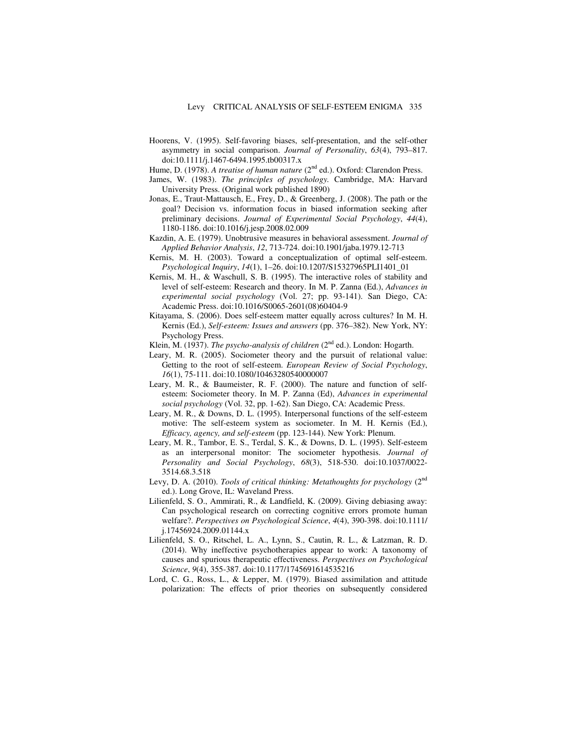- Hoorens, V. (1995). Self-favoring biases, self-presentation, and the self-other asymmetry in social comparison. *Journal of Personality*, *63*(4), 793–817. doi:10.1111/j.1467-6494.1995.tb00317.x
- Hume, D. (1978). *A treatise of human nature* (2<sup>nd</sup> ed.). Oxford: Clarendon Press.
- James, W. (1983). *The principles of psychology.* Cambridge, MA: Harvard University Press. (Original work published 1890)
- Jonas, E., Traut-Mattausch, E., Frey, D., & Greenberg, J. (2008). The path or the goal? Decision vs. information focus in biased information seeking after preliminary decisions. *Journal of Experimental Social Psychology*, *44*(4), 1180-1186. doi:10.1016/j.jesp.2008.02.009
- Kazdin, A. E. (1979). Unobtrusive measures in behavioral assessment. *Journal of Applied Behavior Analysis*, *12*, 713-724. doi:10.1901/jaba.1979.12-713
- Kernis, M. H. (2003). Toward a conceptualization of optimal self-esteem. *Psychological Inquiry*, *14*(1), 1–26. doi:10.1207/S15327965PLI1401\_01
- Kernis, M. H., & Waschull, S. B. (1995). The interactive roles of stability and level of self-esteem: Research and theory. In M. P. Zanna (Ed.), *Advances in experimental social psychology* (Vol. 27; pp. 93-141). San Diego, CA: Academic Press. doi:10.1016/S0065-2601(08)60404-9
- Kitayama, S. (2006). Does self-esteem matter equally across cultures? In M. H. Kernis (Ed.), *Self-esteem: Issues and answers* (pp. 376–382). New York, NY: Psychology Press.
- Klein, M. (1937). *The psycho-analysis of children* (2<sup>nd</sup> ed.). London: Hogarth.
- Leary, M. R. (2005). Sociometer theory and the pursuit of relational value: Getting to the root of self-esteem. *European Review of Social Psychology*, *16*(1), 75-111. doi:10.1080/10463280540000007
- Leary, M. R., & Baumeister, R. F. (2000). The nature and function of selfesteem: Sociometer theory. In M. P. Zanna (Ed), *Advances in experimental social psychology* (Vol. 32, pp. 1-62). San Diego, CA: Academic Press.
- Leary, M. R., & Downs, D. L. (1995). Interpersonal functions of the self-esteem motive: The self-esteem system as sociometer. In M. H. Kernis (Ed.), *Efficacy, agency, and self-esteem* (pp. 123-144). New York: Plenum.
- Leary, M. R., Tambor, E. S., Terdal, S. K., & Downs, D. L. (1995). Self-esteem as an interpersonal monitor: The sociometer hypothesis. *Journal of Personality and Social Psychology*, *68*(3), 518-530. doi:10.1037/0022- 3514.68.3.518
- Levy, D. A. (2010). *Tools of critical thinking: Metathoughts for psychology* (2<sup>nd</sup> ed.). Long Grove, IL: Waveland Press.
- Lilienfeld, S. O., Ammirati, R., & Landfield, K. (2009). Giving debiasing away: Can psychological research on correcting cognitive errors promote human welfare?. *Perspectives on Psychological Science*, *4*(4), 390-398. doi:10.1111/ j.17456924.2009.01144.x
- Lilienfeld, S. O., Ritschel, L. A., Lynn, S., Cautin, R. L., & Latzman, R. D. (2014). Why ineffective psychotherapies appear to work: A taxonomy of causes and spurious therapeutic effectiveness. *Perspectives on Psychological Science*, *9*(4), 355-387. doi:10.1177/1745691614535216
- Lord, C. G., Ross, L., & Lepper, M. (1979). Biased assimilation and attitude polarization: The effects of prior theories on subsequently considered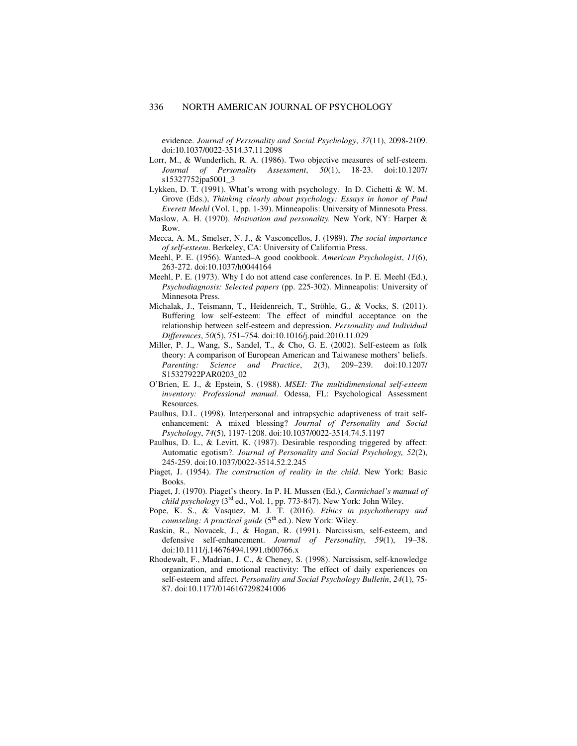evidence. *Journal of Personality and Social Psychology*, *37*(11), 2098-2109. doi:10.1037/0022-3514.37.11.2098

- Lorr, M., & Wunderlich, R. A. (1986). Two objective measures of self-esteem.<br>Journal of Personality Assessment, 50(1), 18-23. doi:10.1207/ *Journal of Personality Assessment,* s15327752jpa5001\_3
- Lykken, D. T. (1991). What's wrong with psychology. In D. Cichetti & W. M. Grove (Eds.), *Thinking clearly about psychology: Essays in honor of Paul Everett Meehl* (Vol. 1, pp. 1-39). Minneapolis: University of Minnesota Press.
- Maslow, A. H. (1970). *Motivation and personality.* New York, NY: Harper & Row.
- Mecca, A. M., Smelser, N. J., & Vasconcellos, J. (1989). *The social importance of self-esteem*. Berkeley, CA: University of California Press.
- Meehl, P. E. (1956). Wanted–A good cookbook. *American Psychologist*, *11*(6), 263-272. doi:10.1037/h0044164
- Meehl, P. E. (1973). Why I do not attend case conferences. In P. E. Meehl (Ed.), *Psychodiagnosis: Selected papers* (pp. 225-302). Minneapolis: University of Minnesota Press.
- Michalak, J., Teismann, T., Heidenreich, T., Ströhle, G., & Vocks, S. (2011). Buffering low self-esteem: The effect of mindful acceptance on the relationship between self-esteem and depression. *Personality and Individual Differences*, *50*(5), 751–754. doi:10.1016/j.paid.2010.11.029
- Miller, P. J., Wang, S., Sandel, T., & Cho, G. E. (2002). Self-esteem as folk theory: A comparison of European American and Taiwanese mothers' beliefs. *Parenting: Science and Practice*, *2*(3), 209–239. doi:10.1207/ S15327922PAR0203\_02
- O'Brien, E. J., & Epstein, S. (1988). *MSEI: The multidimensional self-esteem inventory: Professional manual*. Odessa, FL: Psychological Assessment Resources.
- Paulhus, D.L. (1998). Interpersonal and intrapsychic adaptiveness of trait selfenhancement: A mixed blessing? *Journal of Personality and Social Psychology*, *74*(5), 1197-1208. doi:10.1037/0022-3514.74.5.1197
- Paulhus, D. L., & Levitt, K. (1987). Desirable responding triggered by affect: Automatic egotism?. *Journal of Personality and Social Psychology, 52*(2), 245-259. doi:10.1037/0022-3514.52.2.245
- Piaget, J. (1954). *The construction of reality in the child*. New York: Basic Books.
- Piaget, J. (1970). Piaget's theory. In P. H. Mussen (Ed.), *Carmichael's manual of child psychology* ( $3<sup>rd</sup>$  ed., Vol. 1, pp. 773-847). New York: John Wiley.
- Pope, K. S., & Vasquez, M. J. T. (2016). *Ethics in psychotherapy and counseling: A practical guide* (5<sup>th</sup> ed.). New York: Wiley.
- Raskin, R., Novacek, J., & Hogan, R. (1991). Narcissism, self-esteem, and defensive self-enhancement. *Journal of Personality*, *59*(1), 19–38. doi:10.1111/j.14676494.1991.tb00766.x
- Rhodewalt, F., Madrian, J. C., & Cheney, S. (1998). Narcissism, self-knowledge organization, and emotional reactivity: The effect of daily experiences on self-esteem and affect. *Personality and Social Psychology Bulletin*, *24*(1), 75- 87. doi:10.1177/0146167298241006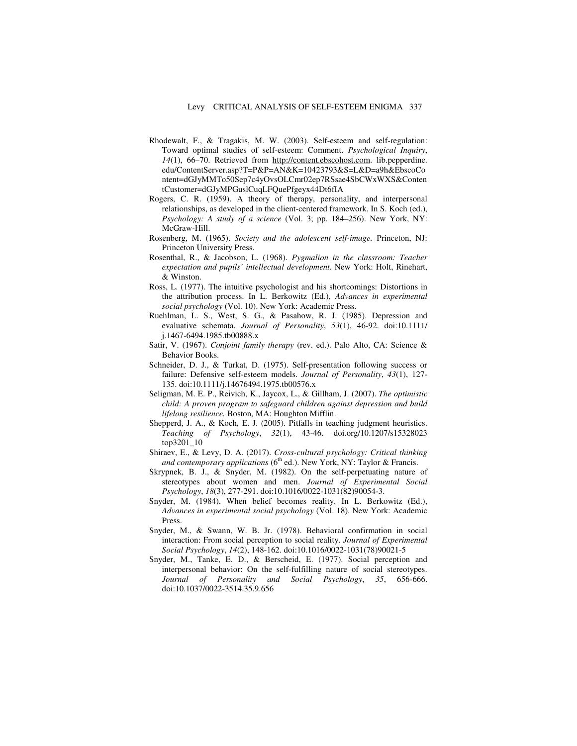- Rhodewalt, F., & Tragakis, M. W. (2003). Self-esteem and self-regulation: Toward optimal studies of self-esteem: Comment. *Psychological Inquiry*, *14*(1), 66–70. Retrieved from http://content.ebscohost.com. lib.pepperdine. edu/ContentServer.asp?T=P&P=AN&K=10423793&S=L&D=a9h&EbscoCo ntent=dGJyMMTo50Sep7c4yOvsOLCmr02ep7RSsae4SbCWxWXS&Conten tCustomer=dGJyMPGuslCuqLFQuePfgeyx44Dt6fIA
- Rogers, C. R. (1959). A theory of therapy, personality, and interpersonal relationships, as developed in the client-centered framework. In S. Koch (ed.), *Psychology: A study of a science* (Vol. 3; pp. 184–256). New York, NY: McGraw-Hill.
- Rosenberg, M. (1965). *Society and the adolescent self-image.* Princeton, NJ: Princeton University Press.
- Rosenthal, R., & Jacobson, L. (1968). *Pygmalion in the classroom: Teacher expectation and pupils' intellectual development*. New York: Holt, Rinehart, & Winston.
- Ross, L. (1977). The intuitive psychologist and his shortcomings: Distortions in the attribution process. In L. Berkowitz (Ed.), *Advances in experimental social psychology* (Vol. 10). New York: Academic Press.
- Ruehlman, L. S., West, S. G., & Pasahow, R. J. (1985). Depression and evaluative schemata. *Journal of Personality*, *53*(1), 46-92. doi:10.1111/ j.1467-6494.1985.tb00888.x
- Satir, V. (1967). *Conjoint family therapy* (rev. ed.). Palo Alto, CA: Science & Behavior Books.
- Schneider, D. J., & Turkat, D. (1975). Self-presentation following success or failure: Defensive self-esteem models. *Journal of Personality*, *43*(1), 127- 135. doi:10.1111/j.14676494.1975.tb00576.x
- Seligman, M. E. P., Reivich, K., Jaycox, L., & Gillham, J. (2007). *The optimistic child: A proven program to safeguard children against depression and build lifelong resilience.* Boston, MA: Houghton Mifflin.
- Shepperd, J. A., & Koch, E. J. (2005). Pitfalls in teaching judgment heuristics. *Teaching of Psychology*, *32*(1), 43-46. doi.org/10.1207/s15328023 top3201\_10
- Shiraev, E., & Levy, D. A. (2017). *Cross-cultural psychology: Critical thinking and contemporary applications* (6<sup>th</sup> ed.). New York, NY: Taylor & Francis.
- Skrypnek, B. J., & Snyder, M. (1982). On the self-perpetuating nature of stereotypes about women and men. *Journal of Experimental Social Psychology*, *18*(3), 277-291. doi:10.1016/0022-1031(82)90054-3.
- Snyder, M. (1984). When belief becomes reality. In L. Berkowitz (Ed.), *Advances in experimental social psychology* (Vol. 18). New York: Academic Press.
- Snyder, M., & Swann, W. B. Jr. (1978). Behavioral confirmation in social interaction: From social perception to social reality. *Journal of Experimental Social Psychology*, *14*(2), 148-162. doi:10.1016/0022-1031(78)90021-5
- Snyder, M., Tanke, E. D., & Berscheid, E. (1977). Social perception and interpersonal behavior: On the self-fulfilling nature of social stereotypes. *Journal of Personality and Social Psychology*, *35*, 656-666. doi:10.1037/0022-3514.35.9.656